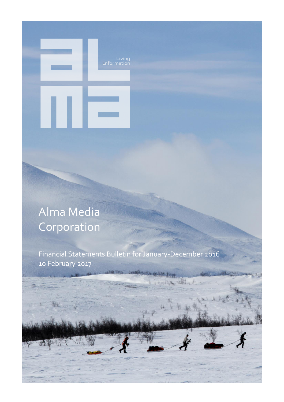# Alma Media **Corporation**

Financial Statements Bulletin for January-December 2016 10 February 2017

Living<br>Information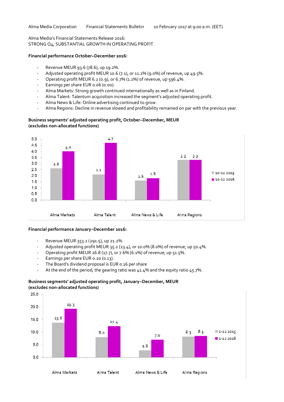# Alma Media's Financial Statements Release 2016: STRONG Q4, SUBSTANTIAL GROWTH IN OPERATING PROFIT

#### **Financial performance October–December 2016:**

- Revenue MEUR 93.6 (78.6), up 19.2%.
- Adjusted operating profit MEUR 10.6 (7.1), or 11.2% (9.0%) of revenue, up 49.5%.
- Operating profit MEUR 6.2 (0.9), or 6.7% (1.1%) of revenue, up 596.4%.
- Earnings per share EUR 0.06 (0.00).
- Alma Markets: Strong growth continued internationally as well as in Finland.
- Alma Talent: Talentum acquisition increased the segment's adjusted operating profit.
- Alma News & Life: Online advertising continued to grow.
- Alma Regions: Decline in revenue slowed and profitability remained on par with the previous year.

# **Business segments' adjusted operating profit, October–December, MEUR (excludes non-allocated functions)**



#### **Financial performance January–December 2016:**

- Revenue MEUR 353.2 (291.5), up 21.2%.
- Adjusted operating profit MEUR 35.2 (23.4), or 10.0% (8.0%) of revenue, up 50.4%.
- Operating profit MEUR 26.8 (17.7), or 7.6% (6.1%) of revenue, up 51.5%.
- Earnings per share EUR 0.20 (0.13).
- The Board's dividend proposal is EUR 0.16 per share
- At the end of the period, the gearing ratio was 41.4% and the equity ratio 45.7%.

# **Business segments' adjusted operating profit, January–December, MEUR (excludes non-allocated functions)**

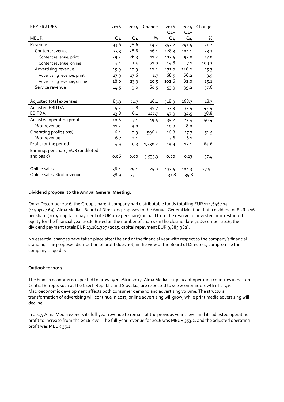| <b>KEY FIGURES</b>                 | 2016           | 2015           | Change  | 2016           | 2015           | Change |
|------------------------------------|----------------|----------------|---------|----------------|----------------|--------|
|                                    |                |                |         | $Q_{1-}$       | $Q_{1-}$       |        |
| <b>MEUR</b>                        | Q <sub>4</sub> | Q <sub>4</sub> | %       | Q <sub>4</sub> | Q <sub>4</sub> | %      |
| Revenue                            | 93.6           | 78.6           | 19.2    | 353.2          | 291.5          | 21.2   |
| Content revenue                    | 33.3           | 28.6           | 16.1    | 128.3          | 104.1          | 23.3   |
| Content revenue, print             | 29.2           | 26.3           | 11.2    | 113.5          | 97.0           | 17.0   |
| Content revenue, online            | 4.1            | 2.4            | 71.0    | 14.8           | 7.1            | 109.3  |
| Advertising revenue                | 45.9           | 40.9           | 12.2    | 171.0          | 148.2          | 15.3   |
| Advertising revenue, print         | 17.9           | 17.6           | 1.7     | 68.5           | 66.2           | 3.5    |
| Advertising revenue, online        | 28.0           | 23.3           | 20.5    | 102.6          | 82.0           | 25.1   |
| Service revenue                    | 14.5           | 9.0            | 60.5    | 53.9           | 39.2           | 37.6   |
|                                    |                |                |         |                |                |        |
| Adjusted total expenses            | 83.3           | 71.7           | 16.1    | 318.9          | 268.7          | 18.7   |
| Adjusted EBITDA                    | 15.2           | 10.8           | 39.7    | 53.3           | 37.4           | 42.4   |
| <b>EBITDA</b>                      | 13.8           | 6.1            | 127.7   | 47.9           | 34.5           | 38.8   |
| Adjusted operating profit          | 10.6           | 7.1            | 49.5    | 35.2           | 23.4           | 50.4   |
| % of revenue                       | 11.2           | 9.0            |         | 10.0           | 8.0            |        |
| Operating profit (loss)            | 6.2            | 0.9            | 596.4   | 26.8           | 17.7           | 51.5   |
| % of revenue                       | 6.7            | 1.1            |         | 7.6            | 6.1            |        |
| Profit for the period              | 4.9            | 0.3            | 1,530.2 | 19.9           | 12.1           | 64.6   |
| Earnings per share, EUR (undiluted |                |                |         |                |                |        |
| and basic)                         | 0.06           | 0.00           | 3,533.3 | 0.20           | 0.13           | 57.4   |
|                                    |                |                |         |                |                |        |
| Online sales                       | 36.4           | 29.1           | 25.0    | 133.5          | 104.3          | 27.9   |
| Online sales, % of revenue         | 38.9           | 37.1           |         | 37.8           | 35.8           |        |

# **Dividend proposal to the Annual General Meeting:**

On 31 December 2016, the Group's parent company had distributable funds totalling EUR 124,646,114 (119,915,169). Alma Media's Board of Directors proposes to the Annual General Meeting that a dividend of EUR 0.16 per share (2015: capital repayment of EUR 0.12 per share) be paid from the reserve for invested non-restricted equity for the financial year 2016. Based on the number of shares on the closing date 31 December 2016, the dividend payment totals EUR 13,181,309 (2015: capital repayment EUR 9,885,982).

No essential changes have taken place after the end of the financial year with respect to the company's financial standing. The proposed distribution of profit does not, in the view of the Board of Directors, compromise the company's liquidity.

#### **Outlook for 2017**

The Finnish economy is expected to grow by 1–2% in 2017. Alma Media's significant operating countries in Eastern Central Europe, such as the Czech Republic and Slovakia, are expected to see economic growth of 2–4%. Macroeconomic development affects both consumer demand and advertising volume. The structural transformation of advertising will continue in 2017; online advertising will grow, while print media advertising will decline.

In 2017, Alma Media expects its full-year revenue to remain at the previous year's level and its adjusted operating profit to increase from the 2016 level. The full-year revenue for 2016 was MEUR 353.2, and the adjusted operating profit was MEUR 35.2.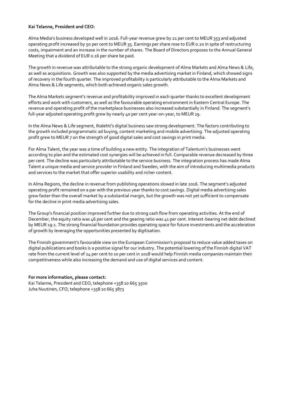#### **Kai Telanne, President and CEO:**

Alma Media's business developed well in 2016. Full-year revenue grew by 21 per cent to MEUR 353 and adjusted operating profit increased by 50 per cent to MEUR 35. Earnings per share rose to EUR 0.20 in spite of restructuring costs, impairment and an increase in the number of shares. The Board of Directors proposes to the Annual General Meeting that a dividend of EUR 0.16 per share be paid.

The growth in revenue was attributable to the strong organic development of Alma Markets and Alma News & Life, as well as acquisitions. Growth was also supported by the media advertising market in Finland, which showed signs of recovery in the fourth quarter. The improved profitability is particularly attributable to the Alma Markets and Alma News & Life segments, which both achieved organic sales growth.

The Alma Markets segment's revenue and profitability improved in each quarter thanks to excellent development efforts and work with customers, as well as the favourable operating environment in Eastern Central Europe. The revenue and operating profit of the marketplace businesses also increased substantially in Finland. The segment's full-year adjusted operating profit grew by nearly 40 per cent year-on-year, to MEUR 19.

In the Alma News & Life segment, Iltalehti's digital business saw strong development. The factors contributing to the growth included programmatic ad buying, content marketing and mobile advertising. The adjusted operating profit grew to MEUR 7 on the strength of good digital sales and cost savings in print media.

For Alma Talent, the year was a time of building a new entity. The integration of Talentum's businesses went according to plan and the estimated cost synergies will be achieved in full. Comparable revenue decreased by three per cent. The decline was particularly attributable to the service business. The integration process has made Alma Talent a unique media and service provider in Finland and Sweden, with the aim of introducing multimedia products and services to the market that offer superior usability and richer content.

In Alma Regions, the decline in revenue from publishing operations slowed in late 2016. The segment's adjusted operating profit remained on a par with the previous year thanks to cost savings. Digital media advertising sales grew faster than the overall market by a substantial margin, but the growth was not yet sufficient to compensate for the decline in print media advertising sales.

The Group's financial position improved further due to strong cash flow from operating activities. At the end of December, the equity ratio was 46 per cent and the gearing ratio was 41 per cent. Interest-bearing net debt declined by MEUR 19.1. The strong financial foundation provides operating space for future investments and the acceleration of growth by leveraging the opportunities presented by digitisation.

The Finnish government's favourable view on the European Commission's proposal to reduce value added taxes on digital publications and books is a positive signal for our industry. The potential lowering of the Finnish digital VAT rate from the current level of 24 per cent to 10 per cent in 2018 would help Finnish media companies maintain their competitiveness while also increasing the demand and use of digital services and content.

# **For more information, please contact:**

Kai Telanne, President and CEO, telephone +358 10 665 3500 Juha Nuutinen, CFO, telephone +358 10 665 3873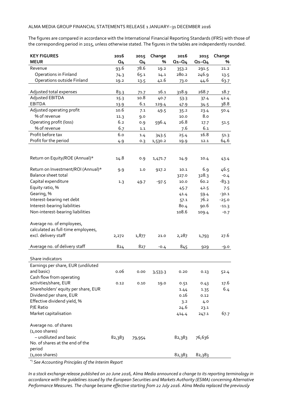The figures are compared in accordance with the International Financial Reporting Standards (IFRS) with those of the corresponding period in 2015, unless otherwise stated. The figures in the tables are independently rounded.

| <b>KEY FIGURES</b>                  | 2016           | 2015           | Change  | 2016        | 2015        | Change  |
|-------------------------------------|----------------|----------------|---------|-------------|-------------|---------|
| <b>MEUR</b>                         | Q <sub>4</sub> | Q <sub>4</sub> | %       | $Q_1 - Q_4$ | $Q_1 - Q_4$ | %       |
| Revenue                             | 93.6           | 78.6           | 19.2    | 353.2       | 291.5       | 21.2    |
| Operations in Finland               | 74.3           | 65.1           | 14.1    | 280.2       | 246.9       | 13.5    |
| Operations outside Finland          | 19.2           | 13.5           | 42.6    | 73.0        | 44.6        | 63.7    |
| Adjusted total expenses             | 83.3           | 71.7           | 16.1    | 318.9       | 268.7       | 18.7    |
| Adjusted EBITDA                     | 15.3           | 10.8           | 40.7    | 53.3        | 37.4        | 42.4    |
| <b>EBITDA</b>                       | 13.9           | 6.1            | 129.4   | 47.9        | 34.5        | 38.8    |
| Adjusted operating profit           | 10.6           | 7.1            | 49.5    | 35.2        | 23.4        | 50.4    |
| % of revenue                        | 11.3           | 9.0            |         | 10.0        | 8.0         |         |
| Operating profit (loss)             | 6.2            | 0.9            | 596.4   | 26.8        | 17.7        | 51.5    |
| % of revenue                        | 6.7            | 1.1            |         | 7.6         | 6.1         |         |
| Profit before tax                   | 6.0            | 1.4            | 343.5   | 25.4        | 16.8        | 51.3    |
| Profit for the period               | 4.9            | 0.3            | 1,530.2 | 19.9        | 12.1        | 64.6    |
|                                     |                |                |         |             |             |         |
| Return on Equity/ROE (Annual)*      | 14.8           | 0.9            | 1,471.7 | 14.9        | 10.4        | 43.4    |
| Return on Investment/ROI (Annual)*  | 9.9            | 1.0            | 917.2   | 10.1        | 6.9         | 46.5    |
| Balance sheet total                 |                |                |         | 327.0       | 328.3       | $-0.4$  |
| Capital expenditure                 | 1.3            | 49.7           | $-97.5$ | 10.0        | 60.2        | $-83.3$ |
| Equity ratio, %                     |                |                |         | 45.7        | 42.5        | 7.5     |
| Gearing, %                          |                |                |         | 41.4        | 59.4        | $-30.1$ |
| Interest-bearing net debt           |                |                |         | 57.1        | 76.2        | $-25.0$ |
| Interest-bearing liabilities        |                |                |         | 80.4        | 90.6        | $-11.3$ |
| Non-interest-bearing liabilities    |                |                |         | 108.6       | 109.4       | $-0.7$  |
| Average no. of employees,           |                |                |         |             |             |         |
| calculated as full-time employees,  |                |                |         |             |             |         |
| excl. delivery staff                | 2,272          | 1,877          | 21.0    | 2,287       | 1,793       | 27.6    |
|                                     |                |                |         |             |             |         |
| Average no. of delivery staff       | 824            | 827            | $-0.4$  | 845         | 929         | -9.0    |
| Share indicators                    |                |                |         |             |             |         |
| Earnings per share, EUR (undiluted  |                |                |         |             |             |         |
| and basic)                          | 0.06           | 0.00           | 3,533.3 | 0.20        | 0.13        | 52.4    |
| Cash flow from operating            |                |                |         |             |             |         |
| activities/share, EUR               | 0.12           | 0.10           | 19.0    | 0.51        | 0.43        | 17.6    |
| Shareholders' equity per share, EUR |                |                |         | 1.44        | 1.35        | 6.4     |
| Dividend per share, EUR             |                |                |         | 0.16        | 0.12        |         |
| Effective dividend yield, %         |                |                |         | 3.2         | 4.0         |         |
| P/E Ratio                           |                |                |         | 24.6        | 23.1        |         |
| Market capitalisation               |                |                |         | 414.4       | 247.1       | 67.7    |
| Average no. of shares               |                |                |         |             |             |         |
| $(1,000 \text{ shares})$            |                |                |         |             |             |         |
| - undiluted and basic               | 82,383         | 79,954         |         | 82,383      | 76,636      |         |
| No. of shares at the end of the     |                |                |         |             |             |         |
| period                              |                |                |         |             |             |         |
| $(1,000 \text{ shares})$            |                |                |         | 82,383      | 82,383      |         |

\*) *See Accounting Principles of the Interim Report*

*In a stock exchange release published on 20 June 2016, Alma Media announced a change to its reporting terminology in accordance with the guidelines issued by the European Securities and Markets Authority (ESMA) concerning Alternative Performance Measures. The change became effective starting from 22 July 2016. Alma Media replaced the previously*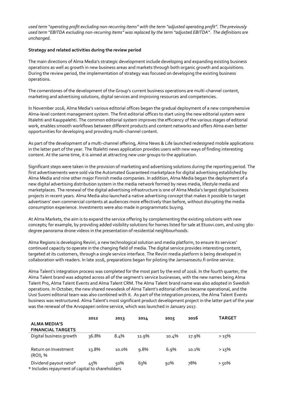*used term "operating profit excluding non-recurring items" with the term "adjusted operating profit". The previously used term "EBITDA excluding non-recurring items" was replaced by the term "adjusted EBITDA". The definitions are unchanged.*

#### **Strategy and related activities during the review period**

The main directions of Alma Media's strategic development include developing and expanding existing business operations as well as growth in new business areas and markets through both organic growth and acquisitions. During the review period, the implementation of strategy was focused on developing the existing business operations.

The cornerstones of the development of the Group's current business operations are multi-channel content, marketing and advertising solutions, digital services and improving resources and competencies.

In November 2016, Alma Media's various editorial offices began the gradual deployment of a new comprehensive Alma-level content management system. The first editorial offices to start using the new editorial system were Iltalehti and Kauppalehti. The common editorial system improves the efficiency of the various stages of editorial work, enables smooth workflows between different products and content networks and offers Alma even better opportunities for developing and providing multi-channel content.

As part of the development of a multi-channel offering, Alma News & Life launched redesigned mobile applications in the latter part of the year. The Iltalehti news application provides users with new ways of finding interesting content. At the same time, it is aimed at attracting new user groups to the application.

Significant steps were taken in the provision of marketing and advertising solutions during the reporting period. The first advertisements were sold via the Automated Guaranteed marketplace for digital advertising established by Alma Media and nine other major Finnish media companies. In addition, Alma Media began the deployment of a new digital advertising distribution system in the media network formed by news media, lifestyle media and marketplaces. The renewal of the digital advertising infrastructure is one of Alma Media's largest digital business projects in recent years. Alma Media also launched a native advertising concept that makes it possible to target advertisers' own commercial contents at audiences more effectively than before, without disrupting the media consumption experience. Investments were also made in programmatic buying.

At Alma Markets, the aim is to expand the service offering by complementing the existing solutions with new concepts; for example, by providing added visibility solutions for homes listed for sale at Etuovi.com, and using 360 degree panorama drone videos in the presentation of residential neighbourhoods.

Alma Regions is developing Reviiri, a new technological solution and media platform, to ensure its services' continued capacity to operate in the changing field of media. The digital service provides interesting content, targeted at its customers, through a single service interface. The Reviiri media platform is being developed in collaboration with readers. In late 2016, preparations began for piloting the Jamsanseutu.fi online service.

Alma Talent's integration process was completed for the most part by the end of 2016. In the fourth quarter, the Alma Talent brand was adopted across all of the segment's service businesses, with the new names being Alma Talent Pro, Alma Talent Events and Alma Talent CRM. The Alma Talent brand name was also adopted in Swedish operations. In October, the new shared newsdesk of Alma Talent's editorial offices became operational, and the Uusi Suomi editorial team was also combined with it. As part of the integration process, the Alma Talent Events business was restructured. Alma Talent's most significant product development project in the latter part of the year was the renewal of the Arvopaperi online service, which was launched in January 2017.

|                                                                           | 2012  | 2013  | 2014    | 2015  | 2016  | <b>TARGET</b> |  |
|---------------------------------------------------------------------------|-------|-------|---------|-------|-------|---------------|--|
| <b>ALMA MEDIA'S</b><br><b>FINANCIAL TARGETS</b>                           |       |       |         |       |       |               |  |
| Digital business growth                                                   | 36.8% | 8.4%  | 11.9%   | 10.4% | 27.9% | $>15\%$       |  |
| Return on Investment<br>(ROI), %                                          | 13.8% | 10.0% | $9.8\%$ | 6.9%  | 10.1% | $>15\%$       |  |
| Dividend payout ratio*<br>* Includes repayment of capital to shareholders | 45%   | 50%   | 63%     | 92%   | 78%   | > ५०%         |  |

\* Includes repayment of capital to shareholders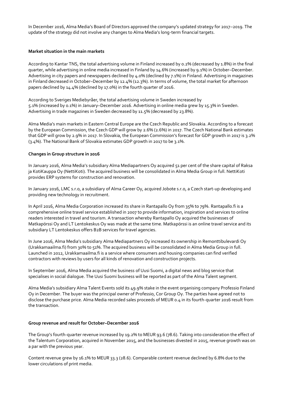In December 2016, Alma Media's Board of Directors approved the company's updated strategy for 2017–2019. The update of the strategy did not involve any changes to Alma Media's long-term financial targets.

#### **Market situation in the main markets**

According to Kantar TNS, the total advertising volume in Finland increased by 0.2% (decreased by 1.8%) in the final quarter, while advertising in online media increased in Finland by 14.6% (increased by 9.1%) in October–December. Advertising in city papers and newspapers declined by 4.0% (declined by 7.1%) in Finland. Advertising in magazines in Finland decreased in October–December by 12.4% (12.3%). In terms of volume, the total market for afternoon papers declined by 14.4% (declined by 17.0%) in the fourth quarter of 2016.

According to Sveriges Mediebyråer, the total advertising volume in Sweden increased by 5.1% (increased by 0.1%) in January–December 2016. Advertising in online media grew by 15.3% in Sweden. Advertising in trade magazines in Sweden decreased by 11.5% (decreased by 23.8%).

Alma Media's main markets in Eastern Central Europe are the Czech Republic and Slovakia. According to a forecast by the European Commission, the Czech GDP will grow by 2.6% (2.6%) in 2017. The Czech National Bank estimates that GDP will grow by 2.9% in 2017. In Slovakia, the European Commission's forecast for GDP growth in 2017 is 3.2% (3.4%). The National Bank of Slovakia estimates GDP growth in 2017 to be 3.1%.

#### **Changes in Group structure in 2016**

In January 2016, Alma Media's subsidiary Alma Mediapartners Oy acquired 51 per cent of the share capital of Raksa ja KotiKauppa Oy (NettiKoti). The acquired business will be consolidated in Alma Media Group in full. NettiKoti provides ERP systems for construction and renovation.

In January 2016, LMC s.r.o, a subsidiary of Alma Career Oy, acquired Jobote s.r.o, a Czech start-up developing and providing new technology in recruitment.

In April 2016, Alma Media Corporation increased its share in Rantapallo Oy from 35% to 79%. [Rantapallo.fi](http://rantapallo.fi/) is a comprehensive online travel service established in 2007 to provide information, inspiration and services to online readers interested in travel and tourism. A transaction whereby Rantapallo Oy acquired the businesses of Matkapörssi Oy and LT Lentokeskus Oy was made at the same time. Matkapörssi is an online travel service and its subsidiary LT Lentokeskus offers B2B services for travel agencies.

In June 2016, Alma Media's subsidiary Alma Mediapartners Oy increased its ownership in Remonttibulevardi Oy (Urakkamaailma.fi) from 30% to 51%. The acquired business will be consolidated in Alma Media Group in full. Launched in 2012, Urakkamaailma.fi is a service where consumers and housing companies can find verified contractors with reviews by users for all kinds of renovation and construction projects.

In September 2016, Alma Media acquired the business of Uusi Suomi, a digital news and blog service that specialises in social dialogue. The Uusi Suomi business will be reported as part of the Alma Talent segment.

Alma Media's subsidiary Alma Talent Events sold its 49.9% stake in the event organising company Professio Finland Oy in December. The buyer was the principal owner of Professio, Cor Group Oy. The parties have agreed not to disclose the purchase price. Alma Media recorded sales proceeds of MEUR 0.4 in its fourth-quarter 2016 result from the transaction.

#### **Group revenue and result for October–December 2016**

The Group's fourth-quarter revenue increased by 19.2% to MEUR 93.6 (78.6). Taking into consideration the effect of the Talentum Corporation, acquired in November 2015, and the businesses divested in 2015, revenue growth was on a par with the previous year.

Content revenue grew by 16.1% to MEUR 33.3 (28.6). Comparable content revenue declined by 6.8% due to the lower circulations of print media.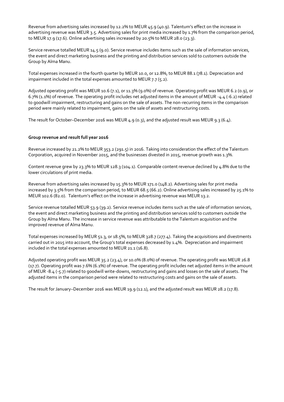Revenue from advertising sales increased by 12.2% to MEUR 45.9 (40.9). Talentum's effect on the increase in advertising revenue was MEUR 3.5. Advertising sales for print media increased by 1.7% from the comparison period, to MEUR 17.9 (17.6). Online advertising sales increased by 20.5% to MEUR 28.0 (23.3).

Service revenue totalled MEUR 14.5 (9.0). Service revenue includes items such as the sale of information services, the event and direct marketing business and the printing and distribution services sold to customers outside the Group by Alma Manu.

Total expenses increased in the fourth quarter by MEUR 10.0, or 12.8%, to MEUR 88.1 (78.1). Depreciation and impairment included in the total expenses amounted to MEUR 7.7 (5.2).

Adjusted operating profit was MEUR 10.6 (7.1), or 11.3% (9.0%) of revenue. Operating profit was MEUR 6.2 (0.9), or 6.7% (1.1%) of revenue. The operating profit includes net adjusted items in the amount of MEUR -4.4 (-6.2) related to goodwill impairment, restructuring and gains on the sale of assets. The non-recurring items in the comparison period were mainly related to impairment, gains on the sale of assets and restructuring costs.

The result for October–December 2016 was MEUR 4.9 (0.3), and the adjusted result was MEUR 9.3 (6.4).

# **Group revenue and result full year 2016**

Revenue increased by 21.2% to MEUR 353.2 (291.5) in 2016. Taking into consideration the effect of the Talentum Corporation, acquired in November 2015, and the businesses divested in 2015, revenue growth was 1.3%.

Content revenue grew by 23.3% to MEUR 128.3 (104.1). Comparable content revenue declined by 4.8% due to the lower circulations of print media.

Revenue from advertising sales increased by 15.3% to MEUR 171.0 (148.2). Advertising sales for print media increased by 3.5% from the comparison period, to MEUR 68.5 (66.2). Online advertising sales increased by 25.1% to MEUR 102.6 (82.0). Talentum's effect on the increase in advertising revenue was MEUR 13.2.

Service revenue totalled MEUR 53.9 (39.2). Service revenue includes items such as the sale of information services, the event and direct marketing business and the printing and distribution services sold to customers outside the Group by Alma Manu. The increase in service revenue was attributable to the Talentum acquisition and the improved revenue of Alma Manu.

Total expenses increased by MEUR 51.3, or 18.5%, to MEUR 328.7 (277.4). Taking the acquisitions and divestments carried out in 2015 into account, the Group's total expenses decreased by 1.4%. Depreciation and impairment included in the total expenses amounted to MEUR 21.1 (16.8).

Adjusted operating profit was MEUR 35.2 (23.4), or 10.0% (8.0%) of revenue. The operating profit was MEUR 26.8 (17.7). Operating profit was 7.6% (6.1%) of revenue. The operating profit includes net adjusted items in the amount of MEUR -8.4 (-5.7) related to goodwill write-downs, restructuring and gains and losses on the sale of assets. The adjusted items in the comparison period were related to restructuring costs and gains on the sale of assets.

The result for January–December 2016 was MEUR 19.9 (12.1), and the adjusted result was MEUR 28.2 (17.8).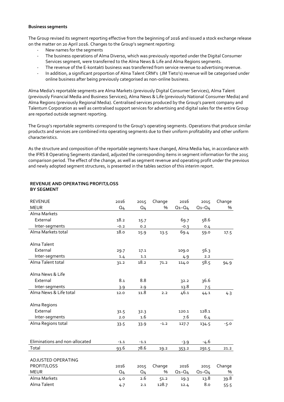#### **Business segments**

The Group revised its segment reporting effective from the beginning of 2016 and issued a stock exchange release on the matter on 20 April 2016. Changes to the Group's segment reporting:

- New names for the segments
- The business operations of Alma Diverso, which was previously reported under the Digital Consumer Services segment, were transferred to the Alma News & Life and Alma Regions segments.
- The revenue of the E-kontakti business was transferred from service revenue to advertising revenue.
- In addition, a significant proportion of Alma Talent CRM's (JM Tieto's) revenue will be categorised under online business after being previously categorised as non-online business.

Alma Media's reportable segments are Alma Markets (previously Digital Consumer Services), Alma Talent (previously Financial Media and Business Services), Alma News & Life (previously National Consumer Media) and Alma Regions (previously Regional Media). Centralised services produced by the Group's parent company and Talentum Corporation as well as centralised support services for advertising and digital sales for the entire Group are reported outside segment reporting.

The Group's reportable segments correspond to the Group's operating segments. Operations that produce similar products and services are combined into operating segments due to their uniform profitability and other uniform characteristics.

As the structure and composition of the reportable segments have changed, Alma Media has, in accordance with the IFRS 8 Operating Segments standard, adjusted the corresponding items in segment information for the 2015 comparison period. The effect of the change, as well as segment revenue and operating profit under the previous and newly adopted segment structures, is presented in the tables section of this interim report.

| <b>REVENUE</b>                 | 2016           | 2015           | Change | 2016        | 2015        | Change |
|--------------------------------|----------------|----------------|--------|-------------|-------------|--------|
| <b>MEUR</b>                    | Q <sub>4</sub> | Q <sub>4</sub> | $\%$   | $Q_1 - Q_4$ | $Q_1 - Q_4$ | %      |
| Alma Markets                   |                |                |        |             |             |        |
| External                       | 18.2           | 15.7           |        | 69.7        | 58.6        |        |
| Inter-segments                 | $-0.2$         | 0.2            |        | $-0.3$      | 0.4         |        |
| Alma Markets total             | 18.0           | 15.9           | 13.5   | 69.4        | 59.0        | 17.5   |
|                                |                |                |        |             |             |        |
| Alma Talent                    |                |                |        |             |             |        |
| External                       | 29.7           | 17.1           |        | 109.0       | 56.3        |        |
| Inter-segments                 | 1.4            | 1.1            |        | 4.9         | 2.2         |        |
| Alma Talent total              | 31.2           | 18.2           | 71.2   | 114.0       | 58.5        | 94.9   |
|                                |                |                |        |             |             |        |
| Alma News & Life               |                |                |        |             |             |        |
| External                       | 8.1            | 8.8            |        | 32.2        | 36.6        |        |
| Inter-segments                 | 3.9            | 2.9            |        | 13.8        | 7.5         |        |
| Alma News & Life total         | 12.0           | 11.8           | 2.2    | 46.1        | 44.1        | 4.3    |
|                                |                |                |        |             |             |        |
| Alma Regions                   |                |                |        |             |             |        |
| External                       | 31.5           | 32.3           |        | 120.1       | 128.1       |        |
| Inter-segments                 | 2.0            | 1.6            |        | 7.6         | 6.4         |        |
| Alma Regions total             | 33.5           | 33.9           | $-1.2$ | 127.7       | 134.5       | $-5.0$ |
|                                |                |                |        |             |             |        |
|                                |                |                |        |             |             |        |
| Eliminations and non-allocated | $-1.1$         | $-1.1$         |        | $-3.9$      | -4.6        |        |
| Total                          | 93.6           | 78.6           | 19.2   | 353.2       | 291.5       | 21.2   |
|                                |                |                |        |             |             |        |
| ADJUSTED OPERATING             |                |                |        |             |             |        |
| PROFIT/LOSS                    | 2016           | 2015           | Change | 2016        | 2015        | Change |
| <b>MEUR</b>                    | Q <sub>4</sub> | Q <sub>4</sub> | %      | $Q_1 - Q_4$ | $Q_1 - Q_4$ | %      |
| Alma Markets                   | 4.0            | 2.6            | 51.2   | 19.3        | 13.8        | 39.8   |
| Alma Talent                    | 4.7            | 2.1            | 128.7  | 12.4        | 8.0         | 55.5   |

# **REVENUE AND OPERATING PROFIT/LOSS BY SEGMENT**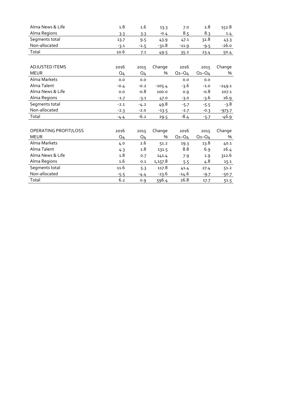| Alma News & Life      | 1.8            | 1.6            | 13.3     | 7.0         | 2.8         | 152.8    |
|-----------------------|----------------|----------------|----------|-------------|-------------|----------|
| Alma Regions          | 3.3            | 3.3            | $-0.4$   | 8.5         | 8.3         | $1.4$    |
| Segments total        | 13.7           | 9.5            | 43.9     | 47.1        | 32.8        | 43.3     |
| Non-allocated         | $-3.1$         | $-2.5$         | -31.8    | $-11.9$     | $-9.5$      | $-26.0$  |
| Total                 | 10.6           | 7.1            | 49.5     | 35.2        | 23.4        | 50.4     |
|                       |                |                |          |             |             |          |
| <b>ADJUSTED ITEMS</b> | 2016           | 2015           | Change   | 2016        | 2015        | Change   |
| <b>MEUR</b>           | Q <sub>4</sub> | Q <sub>4</sub> | $\%$     | $Q_1 - Q_4$ | $Q_1 - Q_4$ | %        |
| Alma Markets          | 0.0            | 0.0            |          | 0.0         | 0.0         |          |
| Alma Talent           | $-0.4$         | $-0.2$         | $-105.4$ | -3.6        | $-1.0$      | $-249.1$ |
| Alma News & Life      | 0.0            | $-0.8$         | 100.0    | 0.9         | $-0.8$      | 207.1    |
| Alma Regions          | $-1.7$         | $-3.1$         | 47.0     | $-3.0$      | $-3.6$      | 16.9     |
| Segments total        | $-2.1$         | $-4.2$         | 49.8     | $-5.7$      | $-5.5$      | -3.8     |
| Non-allocated         | $-2.3$         | $-2.0$         | $-13.5$  | $-2.7$      | $-0.3$      | $-973.7$ |
| Total                 | $-4.4$         | $-6.2$         | 29.5     | $-8.4$      | $-5.7$      | -46.9    |
|                       |                |                |          |             |             |          |
| OPERATING PROFIT/LOSS | 2016           | 2015           | Change   | 2016        | 2015        | Change   |
| <b>MEUR</b>           | Q <sub>4</sub> | $Q_{4}$        | %        | $Q_1 - Q_4$ | $Q_1 - Q_4$ | %        |
| Alma Markets          | 4.0            | 2.6            | 51.2     | 19.3        | 13.8        | 40.1     |
| Alma Talent           | 4.3            | 1.8            | 131.5    | 8.8         | 6.9         | 26.4     |
| Alma News & Life      | 1.8            | 0.7            | 141.4    | 7.9         | 1.9         | 312.6    |
| Alma Regions          | 1.6            | 0.1            | 1,157.8  | 5.5         | 4.8         | 15.1     |
| Segments total        | 11.6           | 5.3            | 117.8    | 41.4        | 27.4        | 51.2     |
| Non-allocated         | $-5.5$         | $-4.4$         | $-23.6$  | $-14.6$     | $-9.7$      | $-50.7$  |
| Total                 | 6.2            | 0.9            | 596.4    | 26.8        | 17.7        | 51.5     |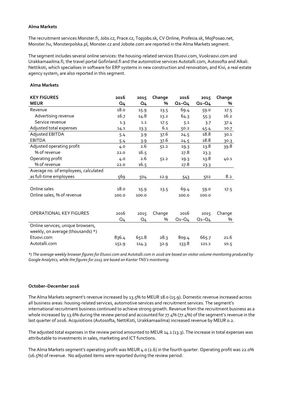#### **Alma Markets**

The recruitment services Monster.fi, Jobs.cz, Prace.cz, Topjobs.sk, CV Online, Profesia.sk, MojPosao.net, Monster.hu, Monsterpolska.pl, Monster.cz and Jobote.com are reported in the Alma Markets segment.

The segment includes several online services: the housing-related services Etuovi.com, Vuokraovi.com and Urakkamaailma.fi, the travel portal Gofinland.fi and the automotive services Autotalli.com, Autosofta and Alkali. Nettikoti, which specialises in software for ERP systems in new construction and renovation, and Kivi, a real estate agency system, are also reported in this segment.

#### **Alma Markets**

| <b>KEY FIGURES</b>                                                     | 2016           | 2015           | Change | 2016        | 2015        | Change |
|------------------------------------------------------------------------|----------------|----------------|--------|-------------|-------------|--------|
| <b>MEUR</b>                                                            | Q <sub>4</sub> | Q <sub>4</sub> | %      | $Q_1 - Q_4$ | $Q_1 - Q_4$ | %      |
| Revenue                                                                | 18.0           | 15.9           | 13.5   | 69.4        | 59.0        | 17.5   |
| Advertising revenue                                                    | 16.7           | 14.8           | 13.2   | 64.3        | 55.3        | 16.2   |
| Service revenue                                                        | 1.3            | 1.1            | 17.5   | 5.1         | 3.7         | 37.4   |
| Adjusted total expenses                                                | 14.1           | 13.3           | 6.1    | 50.2        | 45.4        | 10.7   |
| Adjusted EBITDA                                                        | 5.4            | 3.9            | 37.6   | 24.5        | 18.8        | 30.1   |
| <b>EBITDA</b>                                                          | 5.4            | 3.9            | 37.6   | 24.5        | 18.8        | 30.3   |
| Adjusted operating profit                                              | 4.0            | 2.6            | 51.2   | 19.3        | 13.8        | 39.8   |
| % of revenue                                                           | 22.0           | 16.5           |        | 27.8        | 23.3        |        |
| Operating profit                                                       | 4.0            | 2.6            | 51.2   | 19.3        | 13.8        | 40.1   |
| % of revenue                                                           | 22.0           | 16.5           |        | 27.8        | 23.3        |        |
| Average no. of employees, calculated                                   |                |                |        |             |             |        |
| as full-time employees                                                 | 569            | 504            | 12.9   | 543         | 502         | 8.2    |
|                                                                        |                |                |        |             |             |        |
| Online sales                                                           | 18.0           | 15.9           | 13.5   | 69.4        | 59.0        | 17.5   |
| Online sales, % of revenue                                             | 100.0          | 100.0          |        | 100.0       | 100.0       |        |
|                                                                        |                |                |        |             |             |        |
|                                                                        |                |                |        |             |             |        |
| <b>OPERATIONAL KEY FIGURES</b>                                         | 2016           | 2015           | Change | 2016        | 2015        | Change |
|                                                                        | Q <sub>4</sub> | Q <sub>4</sub> | %      | $Q_1 - Q_4$ | $Q_1 - Q_4$ | %      |
| Online services, unique browsers,<br>weekly, on average (thousands) *) |                |                |        |             |             |        |
| Etuovi.com                                                             | 836.4          | 651.8          | 28.3   | 809.4       | 665.7       | 21.6   |
| Autotalli.com                                                          | 151.9          | 114.3          | 32.9   | 133.8       | 121.1       | 10.5   |

*\*) The average weekly browser figures for Etuovi.com and Autotalli.com in 2016 are based on visitor volume monitoring produced by Google Analytics, while the figures for 2015 are based on Kantar TNS's monitoring.*

#### **October–December 2016**

The Alma Markets segment's revenue increased by 13.5% to MEUR 18.0 (15.9). Domestic revenue increased across all business areas: housing-related services, automotive services and recruitment services. The segment's international recruitment business continued to achieve strong growth. Revenue from the recruitment business as a whole increased by 13.6% during the review period and accounted for 77.4% (77.4%) of the segment's revenue in the last quarter of 2016. Acquisitions (Autosofta, NettiKoti, Urakkamaailma) increased revenue by MEUR 0.2.

The adjusted total expenses in the review period amounted to MEUR 14.1 (13.3). The increase in total expenses was attributable to investments in sales, marketing and ICT functions.

The Alma Markets segment's operating profit was MEUR 4.0 (2.6) in the fourth quarter. Operating profit was 22.0% (16.5%) of revenue. No adjusted items were reported during the review period.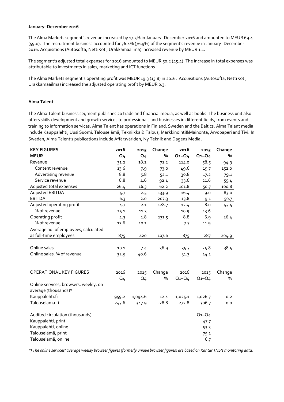#### **January–December 2016**

The Alma Markets segment's revenue increased by 17.5% in January–December 2016 and amounted to MEUR 69.4 (59.0). The recruitment business accounted for 76.4% (76.9%) of the segment's revenue in January–December 2016. Acquisitions (Autosofta, NettiKoti, Urakkamaailma) increased revenue by MEUR 1.1.

The segment's adjusted total expenses for 2016 amounted to MEUR 50.2 (45.4). The increase in total expenses was attributable to investments in sales, marketing and ICT functions.

The Alma Markets segment's operating profit was MEUR 19.3 (13.8) in 2016. Acquisitions (Autosofta, NettiKoti, Urakkamaailma) increased the adjusted operating profit by MEUR 0.3.

# **Alma Talent**

The Alma Talent business segment publishes 20 trade and financial media, as well as books. The business unit also offers skills development and growth services to professionals and businesses in different fields, from events and training to information services. Alma Talent has operations in Finland, Sweden and the Baltics. Alma Talent media include Kauppalehti, Uusi Suomi, Talouselämä, Tekniikka & Talous, Markkinointi&Mainonta, Arvopaperi and Tivi. In Sweden, Alma Talent's publications include Affärsvärlden, Ny Teknik and Dagens Media.

| <b>KEY FIGURES</b>                    | 2016           | 2015           | Change  | 2016        | 2015        | Change |
|---------------------------------------|----------------|----------------|---------|-------------|-------------|--------|
| <b>MEUR</b>                           | Q <sub>4</sub> | <b>Q4</b>      | %       | $Q_1 - Q_4$ | $Q_1 - Q_4$ | %      |
| Revenue                               | 31.2           | 18.2           | 71.2    | 114.0       | 58.5        | 94.9   |
| Content revenue                       | 13.6           | 7.9            | 73.0    | 49.6        | 19.7        | 152.0  |
| Advertising revenue                   | 8.8            | 5.8            | 52.1    | 30.8        | 17.2        | 79.1   |
| Service revenue                       | 8.8            | 4.6            | 92.4    | 33.6        | 21.6        | 55.4   |
| Adjusted total expenses               | 26.4           | 16.3           | 62.2    | 101.8       | 50.7        | 100.8  |
| Adjusted EBITDA                       | 5.7            | 2.5            | 133.9   | 16.4        | 9.0         | 83.0   |
| <b>EBITDA</b>                         | 6.3            | 2.0            | 207.3   | 13.8        | 9.1         | 50.7   |
| Adjusted operating profit             | 4.7            | 2.1            | 128.7   | 12.4        | 8.0         | 55.5   |
| % of revenue                          | 15.1           | 11.3           |         | 10.9        | 13.6        |        |
| Operating profit                      | 4.3            | 1.8            | 131.5   | 8.8         | 6.9         | 26.4   |
| % of revenue                          | 13.6           | 10.1           |         | 7.7         | 11.9        |        |
| Average no. of employees, calculated  |                |                |         |             |             |        |
| as full-time employees                | 875            | 420            | 107.6   | 875         | 287         | 204.9  |
|                                       |                |                |         |             |             |        |
| Online sales                          | 10.1           | 7.4            | 36.9    | 35.7        | 25.8        | 38.5   |
| Online sales, % of revenue            | 32.5           | 40.6           |         | 31.3        | 44.1        |        |
|                                       |                |                |         |             |             |        |
| OPERATIONAL KEY FIGURES               | 2016           | 2015           | Change  | 2016        | 2015        | Change |
|                                       | Q <sub>4</sub> | Q <sub>4</sub> | %       | $Q_1 - Q_4$ | $Q_1 - Q_4$ | %      |
| Online services, browsers, weekly, on |                |                |         |             |             |        |
| average (thousands)*                  |                |                |         |             |             |        |
| Kauppalehti.fi                        | 959.2          | 1,094.6        | $-12.4$ | 1,025.1     | 1,026.7     | $-0.2$ |
| Talouselama.fi                        | 247.6          | 347.9          | $-28.8$ | 272.8       | 306.7       | 0.0    |
|                                       |                |                |         |             |             |        |
| Audited circulation (thousands)       |                |                |         |             | $Q_1 - Q_4$ |        |
| Kauppalehti, print                    |                |                |         |             | 47.7        |        |
| Kauppalehti, online                   |                |                |         |             | 53.3        |        |
| Talouselämä, print                    |                |                |         |             | 75.1        |        |
| Talouselämä, online                   |                |                |         |             | 6.7         |        |

*\*) The online services' average weekly browser figures (formerly unique browser figures) are based on Kantar TNS's monitoring data.*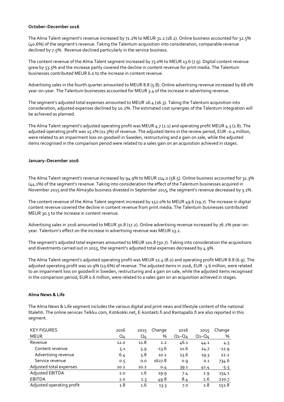#### **October–December 2016**

The Alma Talent segment's revenue increased by 71.2% to MEUR 31.2 (18.2). Online business accounted for 32.5% (40.6%) of the segment's revenue. Taking the Talentum acquisition into consideration, comparable revenue declined by 7.5%. Revenue declined particularly in the service business.

The content revenue of the Alma Talent segment increased by 73.0% to MEUR 13.6 (7.9). Digital content revenue grew by 53.5% and the increase partly covered the decline in content revenue for print media. The Talentum businesses contributed MEUR 6.0 to the increase in content revenue.

Advertising sales in the fourth quarter amounted to MEUR 8.8 (5.8). Online advertising revenue increased by 68.0% year-on-year. The Talentum businesses accounted for MEUR 3.4 of the increase in advertising revenue.

The segment's adjusted total expenses amounted to MEUR 26.4 (16.3). Taking the Talentum acquisition into consideration, adjusted expenses declined by 10.2%. The estimated cost synergies of the Talentum integration will be achieved as planned.

The Alma Talent segment's adjusted operating profit was MEUR 4.7 (2.1) and operating profit MEUR 4.3 (1.8). The adjusted operating profit was 15.1% (11.3%) of revenue. The adjusted items in the review period, EUR -0.4 million, were related to an impairment loss on goodwill in Sweden, restructuring and a gain on sale, while the adjusted items recognised in the comparison period were related to a sales gain on an acquisition achieved in stages.

#### **January–December 2016**

The Alma Talent segment's revenue increased by 94.9% to MEUR 114.0 (58.5). Online business accounted for 31.3% (44.1%) of the segment's revenue. Taking into consideration the effect of the Talentum businesses acquired in November 2015 and the Alma360 business divested in September 2015, the segment's revenue decreased by 3.1%.

The content revenue of the Alma Talent segment increased by 152.0% to MEUR 49.6 (19.7). The increase in digital content revenue covered the decline in content revenue from print media. The Talentum businesses contributed MEUR 30.5 to the increase in content revenue.

Advertising sales in 2016 amounted to MEUR 30.8 (17.2). Online advertising revenue increased by 76.2% year-onyear. Talentum's effect on the increase in advertising revenue was MEUR 13.2.

The segment's adjusted total expenses amounted to MEUR 101.8 (50.7). Taking into consideration the acquisitions and divestments carried out in 2015, the segment's adjusted total expenses decreased by 4.9%.

The Alma Talent segment's adjusted operating profit was MEUR 12.4 (8.0) and operating profit MEUR 8.8 (6.9). The adjusted operating profit was 10.9% (13.6%) of revenue. The adjusted items in 2016, EUR -3.6 million, were related to an impairment loss on goodwill in Sweden, restructuring and a gain on sale, while the adjusted items recognised in the comparison period, EUR 0.6 million, were related to a sales gain on an acquisition achieved in stages.

#### **Alma News & Life**

The Alma News & Life segment includes the various digital and print news and lifestyle content of the national Iltalehti. The online services Telkku.com, Kotikokki.net, E-kontakti.fi and Rantapallo.fi are also reported in this segment.

| <b>KEY FIGURES</b>        | 2016 | 2015 | Change  | 2016        | 2015        | Change  |
|---------------------------|------|------|---------|-------------|-------------|---------|
| <b>MEUR</b>               | Q4   | Q4   | %       | $Q_1 - Q_4$ | $Q_1 - Q_4$ | %       |
| Revenue                   | 12.0 | 11.8 | 2.2     | 46.1        | 44.1        | 4.3     |
| Content revenue           | 5.1  | 5.9  | $-13.6$ | 21.6        | 24.7        | $-12.9$ |
| Advertising revenue       | 6.4  | 5.8  | 10.2    | 23.6        | 19.3        | 22.2    |
| Service revenue           | 0.5  | 0.0  | 1627.8  | 0.9         | 0.1         | 734.6   |
| Adjusted total expenses   | 10.2 | 10.2 | 0.4     | 39.1        | 41.4        | $-5.5$  |
| Adjusted EBITDA           | 2.0  | 1.6  | 19.9    | 7.4         | 2.9         | 154.1   |
| <b>EBITDA</b>             | 2.0  | 1.3  | 49.8    | 8.4         | 2.6         | 220.7   |
| Adjusted operating profit | 1.8  | 1.6  | 13.3    | 7.0         | 2.8         | 152.8   |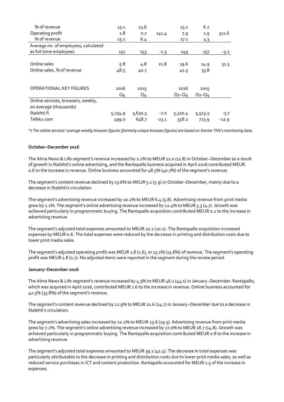| % of revenue                         | 15.1           | 13.6           |         | 15.1        | 6.2         |         |
|--------------------------------------|----------------|----------------|---------|-------------|-------------|---------|
| Operating profit                     | 1.8            | 0.7            | 141.4   | 7.9         | 1.9         | 312.6   |
| % of revenue                         | 15.1           | 6.4            |         | 17.1        | 4.3         |         |
| Average no. of employees, calculated |                |                |         |             |             |         |
| as full-time employees               | 151            | 153            | $-1.3$  | 149         | 157         | $-5.1$  |
|                                      |                |                |         |             |             |         |
| Online sales                         | 5.8            | 4.8            | 21.8    | 19.6        | 14.9        | 31.3    |
| Online sales, % of revenue           | 48.5           | 40.7           |         | 42.5        | 33.8        |         |
|                                      |                |                |         |             |             |         |
|                                      |                |                |         |             |             |         |
| <b>OPERATIONAL KEY FIGURES</b>       | 2016           | 2015           |         | 2016        | 2015        |         |
|                                      | Q <sub>4</sub> | Q <sub>4</sub> |         | $Q_1 - Q_4$ | $Q_1 - Q_4$ |         |
| Online services, browsers, weekly,   |                |                |         |             |             |         |
| on average (thousands)               |                |                |         |             |             |         |
| Iltalehti.fi                         | 5,234.9        | 5,630.3        | $-7.0$  | 5,320.4     | 5,523.5     | $-3.7$  |
| Telkku.com                           | 499.0          | 648.7          | $-23.1$ | 558.2       | 723.9       | $-22.9$ |

*\*) The online services' average weekly browser figures (formerly unique browser figures) are based on Kantar TNS's monitoring data.*

# **October–December 2016**

The Alma News & Life segment's revenue increased by 2.2% to MEUR 12.0 (11.8) in October–December as a result of growth in Iltalehti's online advertising, and the Rantapallo business acquired in April 2016 contributed MEUR 0.6 to the increase in revenue. Online business accounted for 48.5% (40.7%) of the segment's revenue.

The segment's content revenue declined by 13.6% to MEUR 5.1 (5.9) in October–December, mainly due to a decrease in Iltalehti's circulation.

The segment's advertising revenue increased by 10.2% to MEUR 6.4 (5.8). Advertising revenue from print media grew by 1.1%. The segment's online advertising revenue increased by 12.4% to MEUR 5.3 (4.7). Growth was achieved particularly in programmatic buying. The Rantapallo acquisition contributed MEUR 0.2 to the increase in advertising revenue.

The segment's adjusted total expenses amounted to MEUR 10.2 (10.2). The Rantapallo acquisition increased expenses by MEUR 0.6. The total expenses were reduced by the decrease in printing and distribution costs due to lower print media sales.

The segment's adjusted operating profit was MEUR 1.8 (1.6), or 15.1% (13.6%) of revenue. The segment's operating profit was MEUR 1.8 (0.7). No adjusted items were reported in the segment during the review period.

#### **January–December 2016**

The Alma News & Life segment's revenue increased by 4.3% to MEUR 46.1 (44.1) in January–December. Rantapallo, which was acquired in April 2016, contributed MEUR 1.6 to the increase in revenue. Online business accounted for 42.5% (33.8%) of the segment's revenue.

The segment's content revenue declined by 12.9% to MEUR 21.6 (24.7) in January–December due to a decrease in Iltalehti's circulation.

The segment's advertising sales increased by 22.2% to MEUR 23.6 (19.3). Advertising revenue from print media grew by 7.2%. The segment's online advertising revenue increased by 27.0% to MEUR 18.7 (14.8). Growth was achieved particularly in programmatic buying. The Rantapallo acquisition contributed MEUR 0.8 to the increase in advertising revenue.

The segment's adjusted total expenses amounted to MEUR 39.1 (41.4). The decrease in total expenses was particularly attributable to the decrease in printing and distribution costs due to lower print media sales, as well as reduced service purchases in ICT and content production. Rantapallo accounted for MEUR 1.5 of the increase in expenses.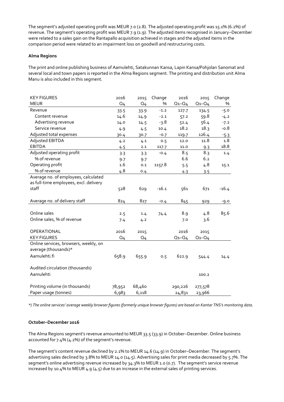The segment's adjusted operating profit was MEUR 7.0 (2.8). The adjusted operating profit was 15.1% (6.2%) of revenue. The segment's operating profit was MEUR 7.9 (1.9). The adjusted items recognised in January–December were related to a sales gain on the Rantapallo acquisition achieved in stages and the adjusted items in the comparison period were related to an impairment loss on goodwill and restructuring costs.

# **Alma Regions**

The print and online publishing business of Aamulehti, Satakunnan Kansa, Lapin Kansa/Pohjolan Sanomat and several local and town papers is reported in the Alma Regions segment. The printing and distribution unit Alma Manu is also included in this segment.

| <b>KEY FIGURES</b>                     | 2016           | 2015           | Change  | 2016        | 2015        | Change  |
|----------------------------------------|----------------|----------------|---------|-------------|-------------|---------|
| <b>MEUR</b>                            | Q <sub>4</sub> | Q <sub>4</sub> | $\%$    | $Q_1 - Q_4$ | $Q_1 - Q_4$ | %       |
| Revenue                                | 33.5           | 33.9           | $-1.2$  | 127.7       | 134.5       | $-5.0$  |
| Content revenue                        | 14.6           | 14.9           | $-2.1$  | 57.2        | 59.8        | $-4.2$  |
| Advertising revenue                    | 14.0           | 14.5           | -3.8    | 52.4        | 56.4        | $-7.2$  |
| Service revenue                        | 4.9            | 4.5            | 10.4    | 18.2        | 18.3        | $-0.8$  |
| Adjusted total expenses                | 30.4           | 30.7           | $-0.7$  | 119.7       | 126.4       | $-5.3$  |
| Adjusted EBITDA                        | 4.2            | 4.1            | 0.5     | 12.0        | 11.8        | 1.8     |
| <b>EBITDA</b>                          | 4.5            | 2.1            | 117.7   | 11.0        | 9.3         | 18.8    |
| Adjusted operating profit              | 3.3            | 3.3            | $-0.4$  | 8.5         | 8.3         | 1.4     |
| % of revenue                           | 9.7            | 9.7            |         | 6.6         | 6.2         |         |
| Operating profit                       | 1.6            | 0.1            | 1157.8  | 5.5         | 4.8         | 15.1    |
| % of revenue                           | 4.8            | 0.4            |         | 4.3         | 3.5         |         |
| Average no. of employees, calculated   |                |                |         |             |             |         |
| as full-time employees, excl. delivery |                |                |         |             |             |         |
| staff                                  | 528            | 629            | $-16.1$ | 561         | 671         | $-16.4$ |
|                                        |                |                |         |             |             |         |
| Average no. of delivery staff          | 824            | 827            | $-0.4$  | 845         | 929         | $-9.0$  |
|                                        |                |                |         |             |             |         |
| Online sales                           | 2.5            | 1.4            | 74.4    | 8.9         | 4.8         | 85.6    |
| Online sales, % of revenue             | 7.4            | 4.2            |         | 7.0         | 3.6         |         |
|                                        |                |                |         |             |             |         |
| OPERATIONAL                            | 2016           | 2015           |         | 2016        | 2015        |         |
| <b>KEY FIGURES</b>                     | Q <sub>4</sub> | Q <sub>4</sub> |         | $Q_1 - Q_4$ | $Q_1 - Q_4$ |         |
| Online services, browsers, weekly, on  |                |                |         |             |             |         |
| average (thousands)*                   |                |                |         |             |             |         |
| Aamulehti.fi                           | 658.9          | 655.9          | 0.5     | 622.9       | 544.4       | 14.4    |
|                                        |                |                |         |             |             |         |
| Audited circulation (thousands)        |                |                |         |             |             |         |
| Aamulehti                              |                |                |         |             | 100.2       |         |
|                                        |                |                |         |             |             |         |
| Printing volume (in thousands)         | 78,952         | 68,460         |         | 290,226     | 277,578     |         |
| Paper usage (tonnes)                   | 6,983          | 6,118          |         | 24,831      | 23,966      |         |

*\*) The online services' average weekly browser figures (formerly unique browser figures) are based on Kantar TNS's monitoring data.*

# **October–December 2016**

The Alma Regions segment's revenue amounted to MEUR 33.5 (33.9) in October–December. Online business accounted for 7.4% (4.2%) of the segment's revenue.

The segment's content revenue declined by 2.1% to MEUR 14.6 (14.9) in October–December. The segment's advertising sales declined by 3.8% to MEUR 14.0 (14.5). Advertising sales for print media decreased by 5.7%. The segment's online advertising revenue increased by 34.3% to MEUR 1.0 (0.7). The segment's service revenue increased by 10.4% to MEUR 4.9 (4.5) due to an increase in the external sales of printing services.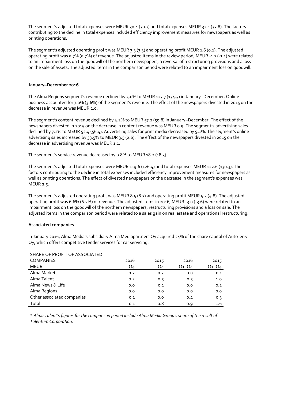The segment's adjusted total expenses were MEUR 30.4 (30.7) and total expenses MEUR 32.1 (33.8). The factors contributing to the decline in total expenses included efficiency improvement measures for newspapers as well as printing operations.

The segment's adjusted operating profit was MEUR 3.3 (3.3) and operating profit MEUR 1.6 (0.1). The adjusted operating profit was 9.7% (9.7%) of revenue. The adjusted items in the review period, MEUR -1.7 (-1.1) were related to an impairment loss on the goodwill of the northern newspapers, a reversal of restructuring provisions and a loss on the sale of assets. The adjusted items in the comparison period were related to an impairment loss on goodwill.

# **January–December 2016**

The Alma Regions segment's revenue declined by 5.0% to MEUR 127.7 (134.5) in January–December. Online business accounted for 7.0% (3.6%) of the segment's revenue. The effect of the newspapers divested in 2015 on the decrease in revenue was MEUR 2.0.

The segment's content revenue declined by 4.2% to MEUR 57.2 (59.8) in January–December. The effect of the newspapers divested in 2015 on the decrease in content revenue was MEUR 0.9. The segment's advertising sales declined by 7.2% to MEUR 52.4 (56.4). Advertising sales for print media decreased by 9.1%. The segment's online advertising sales increased by 33.5% to MEUR 3.5 (2.6). The effect of the newspapers divested in 2015 on the decrease in advertising revenue was MEUR 1.1.

The segment's service revenue decreased by 0.8% to MEUR 18.2 (18.3).

The segment's adjusted total expenses were MEUR 119.6 (126.4) and total expenses MEUR 122.6 (130.3). The factors contributing to the decline in total expenses included efficiency improvement measures for newspapers as well as printing operations. The effect of divested newspapers on the decrease in the segment's expenses was MEUR 2.5.

The segment's adjusted operating profit was MEUR 8.5 (8.3) and operating profit MEUR 5.5 (4.8). The adjusted operating profit was 6.6% (6.2%) of revenue. The adjusted items in 2016, MEUR -3.0 (-3.6) were related to an impairment loss on the goodwill of the northern newspapers, restructuring provisions and a loss on sale. The adjusted items in the comparison period were related to a sales gain on real estate and operational restructuring.

#### **Associated companies**

In January 2016, Alma Media's subsidiary Alma Mediapartners Oy acquired 24% of the share capital of AutoJerry Oy, which offers competitive tender services for car servicing.

| SHARE OF PROFIT OF ASSOCIATED |        |      |             |             |
|-------------------------------|--------|------|-------------|-------------|
| <b>COMPANIES</b>              | 2016   | 2015 | 2016        | 2015        |
| <b>MEUR</b>                   | Q4     | Q4   | $Q_1 - Q_4$ | $Q_1 - Q_4$ |
| Alma Markets                  | $-0.2$ | 0.2  | 0.0         | 0.1         |
| Alma Talent                   | 0.2    | 0.5  | 0.5         | 1.0         |
| Alma News & Life              | 0.0    | 0.1  | 0.0         | 0.2         |
| Alma Regions                  | 0.0    | 0.0  | 0.0         | 0.0         |
| Other associated companies    | 0.1    | 0.0  | 0.4         | 0.3         |
| Total                         | 0.1    | 0.8  | 0.9         | 1.6         |

# SHARE OF PROFIT OF ASSOCIATED

*\* Alma Talent's figures for the comparison period include Alma Media Group's share of the result of Talentum Corporation.*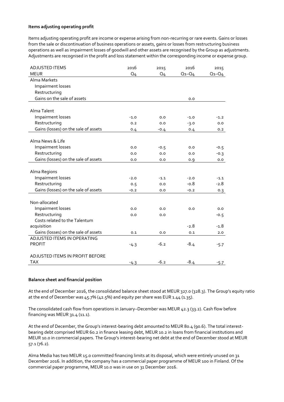#### **Items adjusting operating profit**

Items adjusting operating profit are income or expense arising from non-recurring or rare events. Gains or losses from the sale or discontinuation of business operations or assets, gains or losses from restructuring business operations as well as impairment losses of goodwill and other assets are recognised by the Group as adjustments. Adjustments are recognised in the profit and loss statement within the corresponding income or expense group.

| <b>ADJUSTED ITEMS</b>                | 2016   | 2015   | 2016        | 2015        |
|--------------------------------------|--------|--------|-------------|-------------|
| <b>MEUR</b>                          | Q4     | Q4     | $Q_1 - Q_4$ | $Q_1 - Q_4$ |
| Alma Markets                         |        |        |             |             |
| Impairment losses                    |        |        |             |             |
| Restructuring                        |        |        |             |             |
| Gains on the sale of assets          |        |        | 0.0         |             |
|                                      |        |        |             |             |
| Alma Talent                          |        |        |             |             |
| Impairment losses                    | $-1.0$ | 0.0    | $-1.0$      | $-1.2$      |
| Restructuring                        | 0.2    | 0.0    | $-3.0$      | 0.0         |
| Gains (losses) on the sale of assets | 0.4    | $-0.4$ | 0.4         | 0.2         |
|                                      |        |        |             |             |
| Alma News & Life                     |        |        |             |             |
| Impairment losses                    | 0.0    | $-0.5$ | 0.0         | $-0.5$      |
| Restructuring                        | 0.0    | 0.0    | 0.0         | $-0.3$      |
| Gains (losses) on the sale of assets | 0.0    | 0.0    | 0.9         | 0.0         |
|                                      |        |        |             |             |
| Alma Regions                         |        |        |             |             |
| Impairment losses                    | $-2.0$ | $-1.1$ | $-2.0$      | $-1.1$      |
| Restructuring                        | 0.5    | 0.0    | $-0.8$      | $-2.8$      |
| Gains (losses) on the sale of assets | $-0.2$ | 0.0    | $-0.2$      | 0.3         |
|                                      |        |        |             |             |
| Non-allocated                        |        |        |             |             |
| Impairment losses                    | 0.0    | 0.0    | 0.0         | 0.0         |
| Restructuring                        | 0.0    | 0.0    |             | $-0.5$      |
| Costs related to the Talentum        |        |        |             |             |
| acquisition                          |        |        | $-2.8$      | $-1.8$      |
| Gains (losses) on the sale of assets | 0.1    | 0.0    | 0.1         | 2.0         |
| ADJUSTED ITEMS IN OPERATING          |        |        |             |             |
| <b>PROFIT</b>                        | $-4.3$ | $-6.2$ | $-8.4$      | $-5.7$      |
|                                      |        |        |             |             |
| ADJUSTED ITEMS IN PROFIT BEFORE      |        |        |             |             |
| <b>TAX</b>                           | $-4.3$ | $-6.2$ | $-8.4$      | $-5.7$      |

#### **Balance sheet and financial position**

At the end of December 2016, the consolidated balance sheet stood at MEUR 327.0 (328.3). The Group's equity ratio at the end of December was 45.7% (42.5%) and equity per share was EUR 1.44 (1.35).

The consolidated cash flow from operations in January–December was MEUR 42.3 (33.2). Cash flow before financing was MEUR  $31.4$  (11.1).

At the end of December, the Group's interest-bearing debt amounted to MEUR 80.4 (90.6). The total interestbearing debt comprised MEUR 60.2 in finance leasing debt, MEUR 10.2 in loans from financial institutions and MEUR 10.0 in commercial papers. The Group's interest-bearing net debt at the end of December stood at MEUR 57.1 (76.2).

Alma Media has two MEUR 15.0 committed financing limits at its disposal, which were entirely unused on 31 December 2016. In addition, the company has a commercial paper programme of MEUR 100 in Finland. Of the commercial paper programme, MEUR 10.0 was in use on 31 December 2016.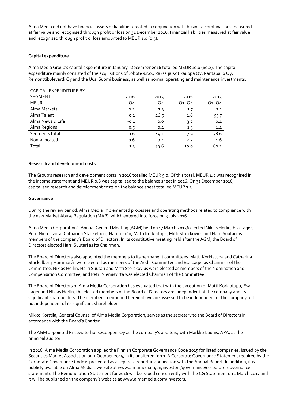Alma Media did not have financial assets or liabilities created in conjunction with business combinations measured at fair value and recognised through profit or loss on 31 December 2016. Financial liabilities measured at fair value and recognised through profit or loss amounted to MEUR 1.0 (0.3).

# **Capital expenditure**

Alma Media Group's capital expenditure in January–December 2016 totalled MEUR 10.0 (60.2). The capital expenditure mainly consisted of the acquisitions of Jobote s.r.o., Raksa ja Kotikauppa Oy, Rantapallo Oy, Remonttibulevardi Oy and the Uusi Suomi business, as well as normal operating and maintenance investments.

| <b>CAPITAL EXPENDITURE BY</b> |                |      |             |             |
|-------------------------------|----------------|------|-------------|-------------|
| <b>SEGMENT</b>                | 2016           | 2015 | 2016        | 2015        |
| <b>MEUR</b>                   | Q <sub>4</sub> | Q4   | $Q_1 - Q_4$ | $Q_1 - Q_4$ |
| Alma Markets                  | 0.2            | 2.3  | 1.7         | 3.1         |
| Alma Talent                   | 0.1            | 46.5 | 1.6         | 53.7        |
| Alma News & Life              | $-0.1$         | 0.0  | 3.2         | 0.4         |
| Alma Regions                  | 0.5            | 0.4  | 1.3         | 1.4         |
| Segments total                | 0.6            | 49.1 | 7.9         | 58.6        |
| Non-allocated                 | 0.6            | 0.4  | 2.2         | 1.6         |
| Total                         | 1.3            | 49.6 | 10.0        | 60.2        |

# **Research and development costs**

The Group's research and development costs in 2016 totalled MEUR 5.0. Of this total, MEUR 4.2 was recognised in the income statement and MEUR 0.8 was capitalised to the balance sheet in 2016. On 31 December 2016, capitalised research and development costs on the balance sheet totalled MEUR 3.3.

#### **Governance**

During the review period, Alma Media implemented processes and operating methods related to compliance with the new Market Abuse Regulation (MAR), which entered into force on 3 July 2016.

Alma Media Corporation's Annual General Meeting (AGM) held on 17 March 20156 elected Niklas Herlin, Esa Lager, Petri Niemisvirta, Catharina Stackelberg-Hammarén, Matti Korkiatupa, Mitti Storckovius and Harri Suutari as members of the company's Board of Directors. In its constitutive meeting held after the AGM, the Board of Directors elected Harri Suutari as its Chairman.

The Board of Directors also appointed the members to its permanent committees. Matti Korkiatupa and Catharina Stackelberg-Hammarén were elected as members of the Audit Committee and Esa Lager as Chairman of the Committee. Niklas Herlin, Harri Suutari and Mitti Storckovius were elected as members of the Nomination and Compensation Committee, and Petri Niemisvirta was elected Chairman of the Committee.

The Board of Directors of Alma Media Corporation has evaluated that with the exception of Matti Korkiatupa, Esa Lager and Niklas Herlin, the elected members of the Board of Directors are independent of the company and its significant shareholders. The members mentioned hereinabove are assessed to be independent of the company but not independent of its significant shareholders.

Mikko Korttila, General Counsel of Alma Media Corporation, serves as the secretary to the Board of Directors in accordance with the Board's Charter.

The AGM appointed PricewaterhouseCoopers Oy as the company's auditors, with Markku Launis, APA, as the principal auditor.

In 2016, Alma Media Corporation applied the Finnish Corporate Governance Code 2015 for listed companies, issued by the Securities Market Association on 1 October 2015, in its unaltered form. A Corporate Governance Statement required by the Corporate Governance Code is presented as a separate report in connection with the Annual Report. In addition, it is publicly available on Alma Media's website at www.almamedia.fi/en/investors/governance/corporate-governancestatement/. The Remuneration Statement for 2016 will be issued concurrently with the CG Statement on 1 March 2017 and it will be published on the company's website at www.almamedia.com/investors.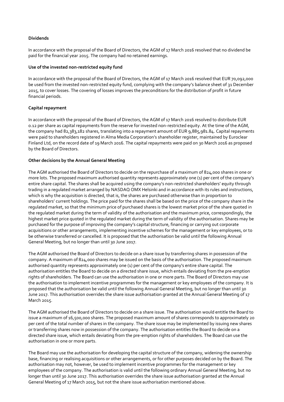# **Dividends**

In accordance with the proposal of the Board of Directors, the AGM of 17 March 2016 resolved that no dividend be paid for the financial year 2015. The company had no retained earnings.

#### **Use of the invested non-restricted equity fund**

In accordance with the proposal of the Board of Directors, the AGM of 17 March 2016 resolved that EUR 70,092,000 be used from the invested non-restricted equity fund, complying with the company's balance sheet of 31 December 2015, to cover losses. The covering of losses improves the preconditions for the distribution of profit in future financial periods.

# **Capital repayment**

In accordance with the proposal of the Board of Directors, the AGM of 17 March 2016 resolved to distribute EUR 0.12 per share as capital repayments from the reserve for invested non-restricted equity. At the time of the AGM, the company had 82,383,182 shares, translating into a repayment amount of EUR 9,885,981.84. Capital repayments were paid to shareholders registered in Alma Media Corporation's shareholder register, maintained by Euroclear Finland Ltd, on the record date of 19 March 2016. The capital repayments were paid on 30 March 2016 as proposed by the Board of Directors.

# **Other decisions by the Annual General Meeting**

The AGM authorised the Board of Directors to decide on the repurchase of a maximum of 824,000 shares in one or more lots. The proposed maximum authorised quantity represents approximately one (1) per cent of the company's entire share capital. The shares shall be acquired using the company's non-restricted shareholders' equity through trading in a regulated market arranged by NASDAQ OMX Helsinki and in accordance with its rules and instructions, which is why the acquisition is directed, that is, the shares are purchased otherwise than in proportion to shareholders' current holdings. The price paid for the shares shall be based on the price of the company share in the regulated market, so that the minimum price of purchased shares is the lowest market price of the share quoted in the regulated market during the term of validity of the authorisation and the maximum price, correspondingly, the highest market price quoted in the regulated market during the term of validity of the authorisation. Shares may be purchased for the purpose of improving the company's capital structure, financing or carrying out corporate acquisitions or other arrangements, implementing incentive schemes for the management or key employees, or to be otherwise transferred or cancelled. It is proposed that the authorisation be valid until the following Annual General Meeting, but no longer than until 30 June 2017.

The AGM authorised the Board of Directors to decide on a share issue by transferring shares in possession of the company. A maximum of 824,000 shares may be issued on the basis of the authorisation. The proposed maximum authorised quantity represents approximately one (1) per cent of the company's entire share capital. The authorisation entitles the Board to decide on a directed share issue, which entails deviating from the pre-emption rights of shareholders. The Board can use the authorisation in one or more parts. The Board of Directors may use the authorisation to implement incentive programmes for the management or key employees of the company. It is proposed that the authorisation be valid until the following Annual General Meeting, but no longer than until 30 June 2017. This authorisation overrides the share issue authorisation granted at the Annual General Meeting of 17 March 2015.

The AGM authorised the Board of Directors to decide on a share issue. The authorisation would entitle the Board to issue a maximum of 16,500,000 shares. The proposed maximum amount of shares corresponds to approximately 20 per cent of the total number of shares in the company. The share issue may be implemented by issuing new shares or transferring shares now in possession of the company. The authorisation entitles the Board to decide on a directed share issue, which entails deviating from the pre-emption rights of shareholders. The Board can use the authorisation in one or more parts.

The Board may use the authorisation for developing the capital structure of the company, widening the ownership base, financing or realising acquisitions or other arrangements, or for other purposes decided on by the Board. The authorisation may not, however, be used to implement incentive programmes for the management or key employees of the company. The authorisation is valid until the following ordinary Annual General Meeting, but no longer than until 30 June 2017. This authorisation overrides the share issue authorisation granted at the Annual General Meeting of 17 March 2015, but not the share issue authorisation mentioned above.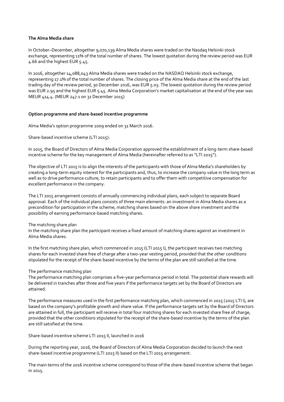#### **The Alma Media share**

In October–December, altogether 9,070,139 Alma Media shares were traded on the Nasdaq Helsinki stock exchange, representing 11% of the total number of shares. The lowest quotation during the review period was EUR 4.66 and the highest EUR 5.45.

In 2016, altogether 14,088,043 Alma Media shares were traded on the NASDAQ Helsinki stock exchange, representing 17.1% of the total number of shares. The closing price of the Alma Media share at the end of the last trading day of the review period, 30 December 2016, was EUR 5.03. The lowest quotation during the review period was EUR 2.95 and the highest EUR 5.45. Alma Media Corporation's market capitalisation at the end of the year was MEUR 414.4. (MEUR 247.1 on 31 December 2015)

# **Option programme and share-based incentive programme**

Alma Media's option programme 2009 ended on 31 March 2016.

Share-based incentive scheme (LTI 2015):

In 2015, the Board of Directors of Alma Media Corporation approved the establishment of a long-term share-based incentive scheme for the key management of Alma Media (hereinafter referred to as "LTI 2015").

The objective of LTI 2015 is to align the interests of the participants with those of Alma Media's shareholders by creating a long-term equity interest for the participants and, thus, to increase the company value in the long term as well as to drive performance culture, to retain participants and to offer them with competitive compensation for excellent performance in the company.

The LTI 2015 arrangement consists of annually commencing individual plans, each subject to separate Board approval. Each of the individual plans consists of three main elements: an investment in Alma Media shares as a precondition for participation in the scheme, matching shares based on the above share investment and the possibility of earning performance-based matching shares.

#### The matching share plan

In the matching share plan the participant receives a fixed amount of matching shares against an investment in Alma Media shares.

In the first matching share plan, which commenced in 2015 (LTI 2015 I), the participant receives two matching shares for each invested share free of charge after a two-year vesting period, provided that the other conditions stipulated for the receipt of the share-based incentive by the terms of the plan are still satisfied at the time.

# The performance matching plan

The performance matching plan comprises a five-year performance period in total. The potential share rewards will be delivered in tranches after three and five years if the performance targets set by the Board of Directors are attained.

The performance measures used in the first performance matching plan, which commenced in 2015 (2015 LTI I), are based on the company's profitable growth and share value. If the performance targets set by the Board of Directors are attained in full, the participant will receive in total four matching shares for each invested share free of charge, provided that the other conditions stipulated for the receipt of the share-based incentive by the terms of the plan are still satisfied at the time.

Share-based incentive scheme LTI 2015 II, launched in 2016

During the reporting year, 2016, the Board of Directors of Alma Media Corporation decided to launch the next share-based incentive programme (LTI 2015 II) based on the LTI 2015 arrangement.

The main terms of the 2016 incentive scheme correspond to those of the share-based incentive scheme that began in 2015.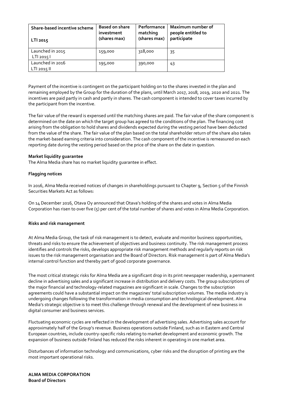| Share-based incentive scheme<br>LTI 2015 | <b>Based on share</b><br>investment<br>(shares max) | Performance<br>matching<br>(shares max) | Maximum number of<br>people entitled to<br>participate |
|------------------------------------------|-----------------------------------------------------|-----------------------------------------|--------------------------------------------------------|
| Launched in 2015<br>LT120151             | 159,000                                             | 318,000                                 | 35                                                     |
| Launched in 2016<br>LTI 2015 II          | 195,000                                             | 390,000                                 | 43                                                     |

Payment of the incentive is contingent on the participant holding on to the shares invested in the plan and remaining employed by the Group for the duration of the plans, until March 2017, 2018, 2019, 2020 and 2021. The incentives are paid partly in cash and partly in shares. The cash component is intended to cover taxes incurred by the participant from the incentive.

The fair value of the reward is expensed until the matching shares are paid. The fair value of the share component is determined on the date on which the target group has agreed to the conditions of the plan. The financing cost arising from the obligation to hold shares and dividends expected during the vesting period have been deducted from the value of the share. The fair value of the plan based on the total shareholder return of the share also takes the market-based earning criteria into consideration. The cash component of the incentive is remeasured on each reporting date during the vesting period based on the price of the share on the date in question.

# **Market liquidity guarantee**

The Alma Media share has no market liquidity guarantee in effect.

# **Flagging notices**

In 2016, Alma Media received notices of changes in shareholdings pursuant to Chapter 9, Section 5 of the Finnish Securities Markets Act as follows:

On 14 December 2016, Otava Oy announced that Otava's holding of the shares and votes in Alma Media Corporation has risen to over five (5) per cent of the total number of shares and votes in Alma Media Corporation.

#### **Risks and risk management**

At Alma Media Group, the task of risk management is to detect, evaluate and monitor business opportunities, threats and risks to ensure the achievement of objectives and business continuity. The risk management process identifies and controls the risks, develops appropriate risk management methods and regularly reports on risk issues to the risk management organisation and the Board of Directors. Risk management is part of Alma Media's internal control function and thereby part of good corporate governance.

The most critical strategic risks for Alma Media are a significant drop in its print newspaper readership, a permanent decline in advertising sales and a significant increase in distribution and delivery costs. The group subscriptions of the major financial and technology-related magazines are significant in scale. Changes to the subscription agreements could have a substantial impact on the magazines' total subscription volumes. The media industry is undergoing changes following the transformation in media consumption and technological development. Alma Media's strategic objective is to meet this challenge through renewal and the development of new business in digital consumer and business services.

Fluctuating economic cycles are reflected in the development of advertising sales. Advertising sales account for approximately half of the Group's revenue. Business operations outside Finland, such as in Eastern and Central European countries, include country-specific risks relating to market development and economic growth. The expansion of business outside Finland has reduced the risks inherent in operating in one market area.

Disturbances of information technology and communications, cyber risks and the disruption of printing are the most important operational risks.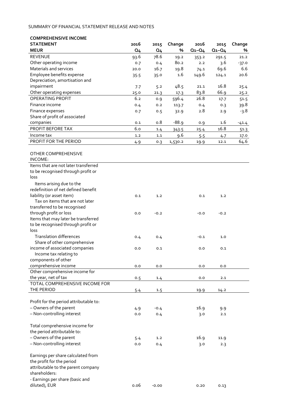# SUMMARY OF FINANCIAL STATEMENT RELEASE AND NOTES

| <b>COMPREHENSIVE INCOME</b>            |                |           |         |             |             |         |
|----------------------------------------|----------------|-----------|---------|-------------|-------------|---------|
| <b>STATEMENT</b>                       | 2016           | 2015      | Change  | 2016        | 2015        | Change  |
| <b>MEUR</b>                            | Q <sub>4</sub> | <b>Q4</b> | %       | $Q_1 - Q_4$ | $Q_1 - Q_4$ | %       |
| <b>REVENUE</b>                         | 93.6           | 78.6      | 19.2    | 353.2       | 291.5       | 21.2    |
| Other operating income                 | 0.7            | 0.4       | 80.2    | 2.2         | 3.6         | $-37.0$ |
| Materials and services                 | 20.0           | 16.7      | 19.8    | 74.1        | 69.6        | 6.6     |
| Employee benefits expense              | 35.5           | 35.0      | $1.6\,$ | 149.6       | 124.1       | 20.6    |
| Depreciation, amortisation and         |                |           |         |             |             |         |
| impairment                             | 7.7            | 5.2       | 48.5    | 21.1        | 16.8        | 25.4    |
| Other operating expenses               | 25.0           | 21.3      | 17.3    | 83.8        | 66.9        | 25.2    |
| OPERATING PROFIT                       | 6.2            | 0.9       | 596.4   | 26.8        | 17.7        | 51.5    |
| Finance income                         | 0.4            | 0.2       | 113.7   | 0.4         | 0.3         | 39.8    |
| Finance expenses                       | 0.7            | 0.5       | 32.9    | 2.8         | 2.9         | -3.8    |
| Share of profit of associated          |                |           |         |             |             |         |
| companies                              | 0.1            | o.8       | $-88.9$ | 0.9         | 1.6         |         |
| PROFIT BEFORE TAX                      | 6.0            |           |         |             | 16.8        | $-41.4$ |
|                                        |                | 1.4       | 343.5   | 25.4        |             | 51.3    |
| Income tax                             | 1.2            | $1.1\,$   | 9.6     | 5.5         | 4.7         | 17.0    |
| PROFIT FOR THE PERIOD                  | 4.9            | 0.3       | 1,530.2 | 19.9        | 12.1        | 64.6    |
|                                        |                |           |         |             |             |         |
| OTHER COMPREHENSIVE                    |                |           |         |             |             |         |
| INCOME:                                |                |           |         |             |             |         |
| Items that are not later transferred   |                |           |         |             |             |         |
| to be recognised through profit or     |                |           |         |             |             |         |
| loss                                   |                |           |         |             |             |         |
| Items arising due to the               |                |           |         |             |             |         |
| redefinition of net defined benefit    |                |           |         |             |             |         |
| liability (or asset item)              | 0.1            | 1.2       |         | 0.1         | 1.2         |         |
| Tax on items that are not later        |                |           |         |             |             |         |
| transferred to be recognised           |                |           |         |             |             |         |
| through profit or loss                 | 0.0            | $-0.2$    |         | $-0.0$      | $-0.2$      |         |
| Items that may later be transferred    |                |           |         |             |             |         |
| to be recognised through profit or     |                |           |         |             |             |         |
| loss                                   |                |           |         |             |             |         |
| <b>Translation differences</b>         | 0.4            | 0.4       |         | $-0.1$      | 1.0         |         |
| Share of other comprehensive           |                |           |         |             |             |         |
| income of associated companies         | 0.0            | 0.1       |         | 0.0         | 0.1         |         |
| Income tax relating to                 |                |           |         |             |             |         |
| components of other                    |                |           |         |             |             |         |
| comprehensive income                   | 0.0            | 0.0       |         | 0.0         | 0.0         |         |
| Other comprehensive income for         |                |           |         |             |             |         |
| the year, net of tax                   | 0.5            | 1.4       |         | 0.0         | 2.1         |         |
| TOTAL COMPREHENSIVE INCOME FOR         |                |           |         |             |             |         |
| THE PERIOD                             | 5.4            | 1.5       |         | 19.9        | 14.2        |         |
|                                        |                |           |         |             |             |         |
| Profit for the period attributable to: |                |           |         |             |             |         |
| - Owners of the parent                 | 4.9            | $-0.4$    |         | 16.9        | 9.9         |         |
| - Non-controlling interest             | 0.0            | 0.4       |         |             | 2.1         |         |
|                                        |                |           |         | 3.0         |             |         |
| Total comprehensive income for         |                |           |         |             |             |         |
| the period attributable to:            |                |           |         |             |             |         |
|                                        |                |           |         |             |             |         |
| - Owners of the parent                 | 5.4            | 1.2       |         | 16.9        | 11.9        |         |
| - Non-controlling interest             | 0.0            | 0.4       |         | 3.0         | 2.3         |         |
|                                        |                |           |         |             |             |         |
| Earnings per share calculated from     |                |           |         |             |             |         |
| the profit for the period              |                |           |         |             |             |         |
| attributable to the parent company     |                |           |         |             |             |         |
| shareholders:                          |                |           |         |             |             |         |
| - Earnings per share (basic and        |                |           |         |             |             |         |

diluted), EUR 0.06 -0.00 0.20 0.13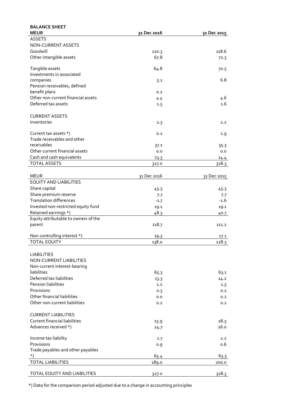| <b>BALANCE SHEET</b>                 |             |             |
|--------------------------------------|-------------|-------------|
| <b>MEUR</b>                          | 31 Dec 2016 | 31 Dec 2015 |
| <b>ASSETS</b>                        |             |             |
| NON-CURRENT ASSETS                   |             |             |
| Goodwill                             | 120.3       | 118.6       |
| Other intangible assets              | 67.8        | 72.3        |
| Tangible assets                      | 64.8        | 70.5        |
| Investments in associated            |             |             |
| companies                            | 5.1         | 6.8         |
| Pension receivables, defined         |             |             |
| benefit plans                        | 0.2         |             |
| Other non-current financial assets   | 4.4         | 4.6         |
| Deferred tax assets                  | 1.5         | 1.6         |
|                                      |             |             |
| <b>CURRENT ASSETS</b>                |             |             |
| Inventories                          | 2.3         | 2.2         |
| Current tax assets *)                | 0.2         | 1.9         |
| Trade receivables and other          |             |             |
| receivables                          | 37.1        | 35.3        |
| Other current financial assets       | 0.0         | 0.0         |
| Cash and cash equivalents            | 23.3        | 14.4        |
| <b>TOTAL ASSETS</b>                  | 327.0       | 328.3       |
| <b>MEUR</b>                          | 31 Dec 2016 | 31 Dec 2015 |
| <b>EQUITY AND LIABILITIES</b>        |             |             |
| Share capital                        | 45.3        | 45.3        |
| Share premium reserve                | 7.7         | 7.7         |
| <b>Translation differences</b>       | $-1.7$      | $-1.6$      |
| Invested non-restricted equity fund  | 19.1        | 19.1        |
| Retained earnings *)                 | 48.3        |             |
| Equity attributable to owners of the |             | 40.7        |
| parent                               | 118.7       | 111.2       |
|                                      |             |             |
| Non-controlling interest *)          | 19.3        | 17.1        |
| <b>TOTAL EQUITY</b>                  | 138.0       | 128.3       |
| <b>LIABILITIES</b>                   |             |             |
| NON-CURRENT LIABILITIES              |             |             |
| Non-current interest-bearing         |             |             |
| liabilities                          | 65.3        | 63.1        |
| Deferred tax liabilities             | 13.3        | 14.2        |
| <b>Pension liabilities</b>           | 1.2         | 1.5         |
| Provisions                           | 0.3         | 0.2         |
| Other financial liabilities          | 0.0         | 0.2         |
| Other non-current liabilities        | 0.2         | 0.2         |
|                                      |             |             |
| <b>CURRENT LIABILITIES</b>           |             |             |
| <b>Current financial liabilities</b> | 15.9        | 28.5        |
| Advances received *)                 | 24.7        | 26.0        |
| Income tax liability                 | 1.7         | 2.2         |
| Provisions                           | 0.9         | 0.6         |
| Trade payables and other payables    |             |             |
| *)                                   | 65.4        | 63.3        |
| <b>TOTAL LIABILITIES</b>             | 189.0       | 200.0       |
| TOTAL EQUITY AND LIABILITIES         | 327.0       | 328.3       |

\*) Data for the comparison period adjusted due to a change in accounting principles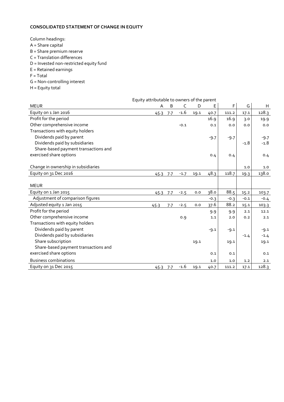# **CONSOLIDATED STATEMENT OF CHANGE IN EQUITY**

Column headings:

- A = Share capital
- B = Share premium reserve
- C = Translation differences
- D = Invested non-restricted equity fund
- E = Retained earnings
- F = Total
- G = Non-controlling interest
- H = Equity total

|                                      | Equity attributable to owners of the parent |     |        |      |        |        |        |        |
|--------------------------------------|---------------------------------------------|-----|--------|------|--------|--------|--------|--------|
| <b>MEUR</b>                          | Α                                           | B   | C      | D    | Е      | F      | G      | H      |
| Equity on 1 Jan 2016                 | 45.3                                        | 7.7 | $-1.6$ | 19.1 | 40.7   | 111.2  | 17.1   | 128.3  |
| Profit for the period                |                                             |     |        |      | 16.9   | 16.9   | 3.0    | 19.9   |
| Other comprehensive income           |                                             |     | $-0.1$ |      | 0.1    | 0.0    | 0.0    | 0.0    |
| Transactions with equity holders     |                                             |     |        |      |        |        |        |        |
| Dividends paid by parent             |                                             |     |        |      | $-9.7$ | $-9.7$ |        | $-9.7$ |
| Dividends paid by subsidiaries       |                                             |     |        |      |        |        | $-1.8$ | $-1.8$ |
| Share-based payment transactions and |                                             |     |        |      |        |        |        |        |
| exercised share options              |                                             |     |        |      | 0.4    | 0.4    |        | 0.4    |
|                                      |                                             |     |        |      |        |        |        |        |
| Change in ownership in subsidiaries  |                                             |     |        |      |        |        | 1.0    | 1.0    |
| Equity on 31 Dec 2016                | 45.3                                        | 7.7 | $-1.7$ | 19.1 | 48.3   | 118.7  | 19.3   | 138.0  |
|                                      |                                             |     |        |      |        |        |        |        |
| <b>MEUR</b>                          |                                             |     |        |      |        |        |        |        |
| Equity on 1 Jan 2015                 | 45.3                                        | 7.7 | $-2.5$ | 0.0  | 38.0   | 88.5   | 15.2   | 103.7  |
| Adjustment of comparison figures     |                                             |     |        |      | $-0.3$ | $-0.3$ | $-0.1$ | $-0.4$ |
| Adjusted equity 1 Jan 2015           | 45.3                                        | 7.7 | $-2.5$ | 0.0  | 37.6   | 88.2   | 15.1   | 103.3  |
| Profit for the period                |                                             |     |        |      | 9.9    | 9.9    | 2.1    | 12.1   |
| Other comprehensive income           |                                             |     | 0.9    |      | 1.1    | 2.0    | 0.2    | 2.1    |
| Transactions with equity holders     |                                             |     |        |      |        |        |        |        |
| Dividends paid by parent             |                                             |     |        |      | $-9.1$ | $-9.1$ |        | $-9.1$ |
| Dividends paid by subsidiaries       |                                             |     |        |      |        |        | $-1.4$ | $-1.4$ |
| Share subscription                   |                                             |     |        | 19.1 |        | 19.1   |        | 19.1   |
| Share-based payment transactions and |                                             |     |        |      |        |        |        |        |
| exercised share options              |                                             |     |        |      | 0.1    | 0.1    |        | 0.1    |
| <b>Business combinations</b>         |                                             |     |        |      | 1.0    | 1.0    | 1.2    | 2.1    |
| Equity on 31 Dec 2015                | 45.3                                        | 7.7 | $-1.6$ | 19.1 | 40.7   | 111.2  | 17.1   | 128.3  |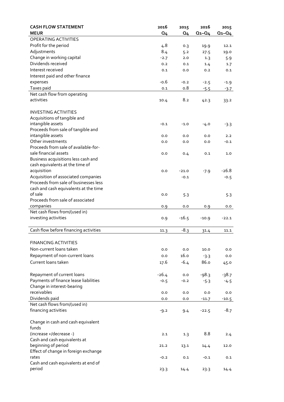| <b>CASH FLOW STATEMENT</b>                            | 2016    | 2015           | 2016        | 2015        |
|-------------------------------------------------------|---------|----------------|-------------|-------------|
| <b>MEUR</b>                                           | Q4      | Q <sub>4</sub> | $Q_1 - Q_4$ | $Q_1 - Q_4$ |
| OPERATING ACTIVITIES                                  |         |                |             |             |
| Profit for the period                                 | 4.8     | 0.3            | 19.9        | 12.1        |
| Adjustments                                           | 8.4     | 5.2            | 27.5        | 19.0        |
| Change in working capital                             | $-2.7$  | 2.0            | 1.3         | 5.9         |
| Dividends received                                    | 0.2     | 0.1            | 1.4         | 1.7         |
| Interest received                                     | 0.1     | 0.0            | 0.2         | 0.1         |
| Interest paid and other finance                       |         |                |             |             |
| expenses                                              | $-0.6$  | $-0.2$         | $-2.5$      | $-1.9$      |
| Taxes paid                                            | 0.1     | 0.8            | $-5.5$      | $-3.7$      |
| Net cash flow from operating                          |         |                |             |             |
| activities                                            | 10.4    | 8.2            | 42.3        | 33.2        |
|                                                       |         |                |             |             |
| <b>INVESTING ACTIVITIES</b>                           |         |                |             |             |
| Acquisitions of tangible and                          |         |                |             |             |
| intangible assets                                     | $-0.1$  | $-1.0$         | -4.0        | $-3.3$      |
| Proceeds from sale of tangible and                    |         |                |             |             |
| intangible assets                                     | 0.0     | 0.0            | 0.0         | 2.2         |
| Other investments                                     | 0.0     | 0.0            | 0.0         | $-0.1$      |
| Proceeds from sale of available-for-                  |         |                |             |             |
| sale financial assets                                 | 0.0     | 0.4            | 0.1         | 1.0         |
| Business acquisitions less cash and                   |         |                |             |             |
| cash equivalents at the time of                       |         |                |             |             |
| acquisition                                           | 0.0     | $-21.0$        | $-7.9$      | $-26.8$     |
| Acquisition of associated companies                   |         | $-0.1$         |             | $-0.5$      |
| Proceeds from sale of businesses less                 |         |                |             |             |
| cash and cash equivalents at the time                 |         |                |             |             |
| of sale                                               | 0.0     | 5.3            |             | 5.3         |
| Proceeds from sale of associated                      |         |                |             |             |
| companies                                             | 0.9     | 0.0            | 0.9         | 0.0         |
| Net cash flows from/(used in)                         |         |                |             |             |
| investing activities                                  | 0.9     | $-16.5$        | $-10.9$     | $-22.1$     |
| Cash flow before financing activities                 |         | $-8.3$         |             | 11.1        |
|                                                       | 11.3    |                | 31.4        |             |
| <b>FINANCING ACTIVITIES</b>                           |         |                |             |             |
| Non-current loans taken                               |         |                | 10.0        |             |
|                                                       | 0.0     | 0.0            |             | 0.0         |
| Repayment of non-current loans                        | 0.0     | 16.0           | $-3.3$      | 0.0         |
| Current loans taken                                   | 17.6    | $-6.4$         | 86.o        | 45.0        |
|                                                       |         |                |             |             |
| Repayment of current loans                            | $-26.4$ | 0.0            | $-98.3$     | $-38.7$     |
| Payments of finance lease liabilities                 | $-0.5$  | $-0.2$         | $-5.3$      | $-4.5$      |
| Change in interest-bearing<br>receivables             |         |                |             |             |
|                                                       | 0.0     | 0.0            | 0.0         | 0.0         |
| Dividends paid                                        | 0.0     | 0.0            | $-11.7$     | $-10.5$     |
| Net cash flows from/(used in)<br>financing activities |         |                |             | $-8.7$      |
|                                                       | $-9.2$  | 9.4            | $-22.5$     |             |
| Change in cash and cash equivalent                    |         |                |             |             |
| funds                                                 |         |                |             |             |
| (increase +/decrease -)                               | 2.1     | 1.3            | 8.8         | 2.4         |
| Cash and cash equivalents at                          |         |                |             |             |
| beginning of period                                   | 21.2    | 13.1           | 14.4        | 12.0        |
| Effect of change in foreign exchange                  |         |                |             |             |
| rates                                                 | $-0.2$  | 0.1            | $-0.1$      | 0.1         |
| Cash and cash equivalents at end of                   |         |                |             |             |
| period                                                | 23.3    | 14.4           | 23.3        | 14.4        |
|                                                       |         |                |             |             |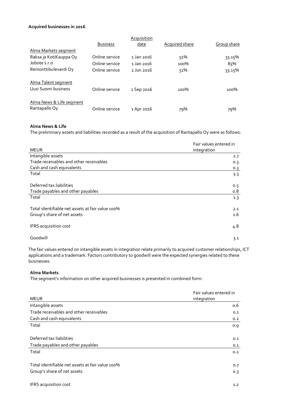#### **Acquired businesses in 2016**

|                          |                 | <b>Acquisition</b>    |                       |             |
|--------------------------|-----------------|-----------------------|-----------------------|-------------|
|                          | <b>Business</b> | date                  | <b>Acquired share</b> | Group share |
| Alma Markets segment     |                 |                       |                       |             |
| Raksa ja KotiKauppa Oy   | Online service  | 1 Jan 2016            | 51%                   | 33.15%      |
| Jobote s.r.o             | Online service  | $1 \text{ Jan } 2016$ | 100%                  | 83%         |
| Remonttibulevardi Oy     | Online service  | $2$ Jun $2016$        | 51%                   | 33.15%      |
| Alma Talent segment      |                 |                       |                       |             |
| Uusi Suomi business      | Online service  | 1 Sep 2016            | 100%                  | 100%        |
| Alma News & Life segment |                 |                       |                       |             |
| Rantapallo Oy            | Online service  | 1 Apr 2016            | 79%                   | 79%         |

# **Alma News & Life**

The preliminary assets and liabilities recorded as a result of the acquisition of Rantapallo Oy were as follows:

|                                                  | Fair values entered in |
|--------------------------------------------------|------------------------|
| <b>MEUR</b>                                      | integration            |
| Intangible assets                                | 2.7                    |
| Trade receivables and other receivables          | 0.3                    |
| Cash and cash equivalents                        | 0.3                    |
| Total                                            | 3.3                    |
| Deferred tax liabilities                         | 0.5                    |
| Trade payables and other payables                | 0.8                    |
| Total                                            | 1.3                    |
| Total identifiable net assets at fair value 100% | 2.1                    |
| Group's share of net assets                      | 1.6                    |
| IFRS acquisition cost                            | 4.8                    |
| Goodwill                                         | 3.1                    |

The fair values entered on intangible assets in integration relate primarily to acquired customer relationships, ICT applications and a trademark. Factors contributory to goodwill were the expected synergies related to these businesses.

# **Alma Markets**

The segment's information on other acquired businesses is presented in combined form:

|                                                  | Fair values entered in |
|--------------------------------------------------|------------------------|
| <b>MEUR</b>                                      | integration            |
| Intangible assets                                | 0.6                    |
| Trade receivables and other receivables          | 0.1                    |
| Cash and cash equivalents                        | 0.2                    |
| Total                                            | 0.9                    |
|                                                  |                        |
| Deferred tax liabilities                         | 0.1                    |
| Trade payables and other payables                | 0.1                    |
| Total                                            | 0.2                    |
|                                                  |                        |
| Total identifiable net assets at fair value 100% | 0.7                    |
| Group's share of net assets                      | 0.3                    |
|                                                  |                        |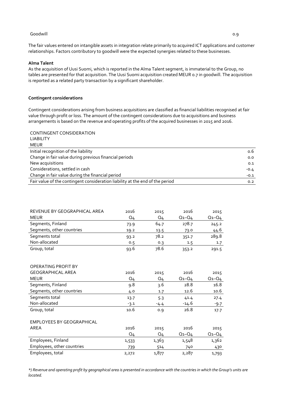#### Goodwill 0.9

#### **Alma Talent**

As the acquisition of Uusi Suomi, which is reported in the Alma Talent segment, is immaterial to the Group, no tables are presented for that acquisition. The Uusi Suomi acquisition created MEUR 0.7 in goodwill. The acquisition is reported as a related party transaction by a significant shareholder.

#### **Contingent considerations**

Contingent considerations arising from business acquisitions are classified as financial liabilities recognised at fair value through profit or loss. The amount of the contingent considerations due to acquisitions and business arrangements is based on the revenue and operating profits of the acquired businesses in 2015 and 2016.

| CONTINGENT CONSIDERATION                                                      |        |
|-------------------------------------------------------------------------------|--------|
| <b>LIABILITY</b>                                                              |        |
| MEUR                                                                          |        |
| Initial recognition of the liability                                          | o.6    |
| Change in fair value during previous financial periods                        | 0.0    |
| New acquisitions                                                              | 0.1    |
| Considerations, settled in cash                                               | $-0.4$ |
| Change in fair value during the financial period                              | $-0.1$ |
| Fair value of the contingent consideration liability at the end of the period | 0.2    |

| REVENUE BY GEOGRAPHICAL AREA | 2016 | 2015 | 2016        | 2015        |
|------------------------------|------|------|-------------|-------------|
| <b>MEUR</b>                  | Q4   | Q4   | $Q_1 - Q_4$ | $Q_1 - Q_4$ |
| Segments, Finland            | 73.9 | 64.7 | 278.7       | 245.2       |
| Segments, other countries    | 19.2 | 13.5 | 73.0        | 44.6        |
| Segments total               | 93.2 | 78.2 | 351.7       | 289.8       |
| Non-allocated                | 0.5  | 0.3  | 1.5         | 1.7         |
| Group, total                 | 93.6 | 78.6 | 353.2       | 291.5       |

| OPERATING PROFIT BY        |        |        |             |             |
|----------------------------|--------|--------|-------------|-------------|
| <b>GEOGRAPHICAL AREA</b>   | 2016   | 2015   | 2016        | 2015        |
| <b>MEUR</b>                | Q4     | Q4     | $Q_1 - Q_4$ | $Q_1 - Q_4$ |
| Segments, Finland          | 9.8    | 3.6    | 28.8        | 16.8        |
| Segments, other countries  | 4.0    | 1.7    | 12.6        | 10.6        |
| Segments total             | 13.7   | 5.3    | 41.4        | 27.4        |
| Non-allocated              | $-3.1$ | $-4.4$ | $-14.6$     | $-9.7$      |
| Group, total               | 10.6   | 0.9    | 26.8        | 17.7        |
| EMPLOYEES BY GEOGRAPHICAL  |        |        |             |             |
| AREA                       | 2016   | 2015   | 2016        | 2015        |
|                            | Q4     | Q4     | $Q_1 - Q_4$ | $Q_1 - Q_4$ |
| Employees, Finland         | 1,533  | 1,363  | 1,548       | 1,362       |
| Employees, other countries | 739    | 514    | 740         | 430         |
| Employees, total           | 2,272  | 1,877  | 2,287       | 1,793       |

*\*) Revenue and operating profit by geographical area is presented in accordance with the countries in which the Group's units are located.*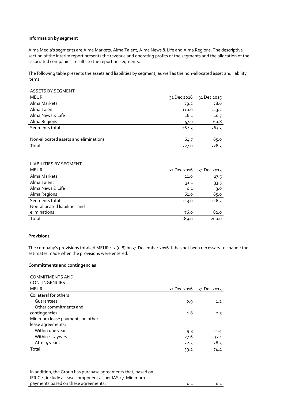#### **Information by segment**

Alma Media's segments are Alma Markets, Alma Talent, Alma News & Life and Alma Regions. The descriptive section of the interim report presents the revenue and operating profits of the segments and the allocation of the associated companies' results to the reporting segments.

The following table presents the assets and liabilities by segment, as well as the non-allocated asset and liability items.

| <b>ASSETS BY SEGMENT</b>              |             |             |
|---------------------------------------|-------------|-------------|
| <b>MEUR</b>                           | 31 Dec 2016 | 31 Dec 2015 |
| Alma Markets                          | 79.2        | 78.6        |
| Alma Talent                           | 110.0       | 113.2       |
| Alma News & Life                      | 16.1        | 10.7        |
| Alma Regions                          | 57.0        | 60.8        |
| Segments total                        | 262.3       | 263.3       |
| Non-allocated assets and eliminations | 64.7        | 65.0        |
| Total                                 | 327.0       | 328.3       |

#### LIABILITIES BY SEGMENT

| <b>MEUR</b>                   | 31 Dec 2016 | 31 Dec 2015 |
|-------------------------------|-------------|-------------|
| Alma Markets                  | 21.0        | 17.5        |
| Alma Talent                   | 31.1        | 33.5        |
| Alma News & Life              | 0.1         | 3.0         |
| Alma Regions                  | 61.0        | 65.0        |
| Segments total                | 113.0       | 118.3       |
| Non-allocated liabilities and |             |             |
| eliminations                  | 76.0        | 82.0        |
| Total                         | 189.0       | 200.0       |

#### **Provisions**

The company's provisions totalled MEUR 1.2 (0.8) on 31 December 2016. It has not been necessary to change the estimates made when the provisions were entered.

#### **Commitments and contingencies**

| <b>COMMITMENTS AND</b>          |             |             |
|---------------------------------|-------------|-------------|
| <b>CONTINGENCIES</b>            |             |             |
| <b>MEUR</b>                     | 31 Dec 2016 | 31 Dec 2015 |
| Collateral for others           |             |             |
| Guarantees                      | 0.9         | 1.2         |
| Other commitments and           |             |             |
| contingencies                   | 1.8         | 2.5         |
| Minimum lease payments on other |             |             |
| lease agreements:               |             |             |
| Within one year                 | 9.3         | 11.4        |
| Within 1-5 years                | 27.6        | 37.1        |
| After 5 years                   | 22.5        | 28.5        |
| Total                           | 59.2        | 74.4        |

In addition, the Group has purchase agreements that, based on IFRIC 4, include a lease component as per IAS 17. Minimum payments based on these agreements: 0.1 0.1 0.1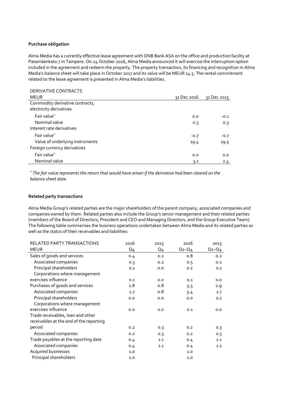#### **Purchase obligation**

DERIVATIVE CONTRACTS

Alma Media has a currently effective lease agreement with DNB Bank ASA on the office and production facility at Patamäenkatu 7 in Tampere. On 24 October 2016, Alma Media announced it will exercise the interruption option included in the agreement and redeem the property. The property transaction, its financing and recognition in Alma Media's balance sheet will take place in October 2017 and its value will be MEUR 14.5. The rental commitment related to the lease agreement is presented in Alma Media's liabilities.

| DERIVATIVE CONTRACTS            |             |             |
|---------------------------------|-------------|-------------|
| <b>MEUR</b>                     | 31 Dec 2016 | 31 Dec 2015 |
| Commodity derivative contracts, |             |             |
| electricity derivatives         |             |             |
| Fair value*                     | 0.0         | $-0.1$      |
| Nominal value                   | 0.3         | 0.3         |
| Interest rate derivatives       |             |             |
| Fair value*                     | $-0.7$      | $-0.7$      |
| Value of underlying instruments | 19.4        | 19.5        |
| Foreign currency derivatives    |             |             |
| Fair value*                     | 0.0         | 0.0         |
| Nominal value                   | 3.1         | 2.4         |

*\* The fair value represents the return that would have arisen if the derivative had been cleared on the balance sheet date.*

#### **Related party transactions**

Alma Media Group's related parties are the major shareholders of the parent company, associated companies and companies owned by them. Related parties also include the Group's senior management and their related parties (members of the Board of Directors, President and CEO and Managing Directors, and the Group Executive Team). The following table summarises the business operations undertaken between Alma Media and its related parties as well as the status of their receivables and liabilities:

| <b>RELATED PARTY TRANSACTIONS</b>       | 2016           | 2015           | 2016        | 2015        |
|-----------------------------------------|----------------|----------------|-------------|-------------|
| <b>MEUR</b>                             | Q <sub>4</sub> | Q <sub>4</sub> | $Q_1 - Q_4$ | $Q_1 - Q_4$ |
| Sales of goods and services             | 0.4            | 0.2            | 0.8         | 0.2         |
| Associated companies                    | 0.3            | 0.2            | 0.5         | 0.2         |
| Principal shareholders                  | 0.1            | 0.0            | 0.2         | 0.1         |
| Corporations where management           |                |                |             |             |
| exercises influence                     | 0.1            | 0.0            | 0.1         | 0.0         |
| Purchases of goods and services         | 2.8            | 0.8            | 5.5         | 2.9         |
| Associated companies                    | 2.7            | 0.8            | 5.4         | 2.7         |
| Principal shareholders                  | 0.0            | 0.0            | 0.0         | 0.1         |
| Corporations where management           |                |                |             |             |
| exercises influence                     | 0.0            | 0.0            | 0.1         | 0.0         |
| Trade receivables, loan and other       |                |                |             |             |
| receivables at the end of the reporting |                |                |             |             |
| period                                  | 0.2            | 0.3            | 0.2         | 0.3         |
| Associated companies                    | 0.2            | 0.3            | 0.2         | 0.3         |
| Trade payables at the reporting date    | 0.4            | 1.1            | 0.4         | 1.1         |
| Associated companies                    | 0.4            | 1.1            | 0.4         | 1.1         |
| Acquired businesses                     | 1.0            |                | 1.0         |             |
| Principal shareholders                  | 1.0            |                | 1.0         |             |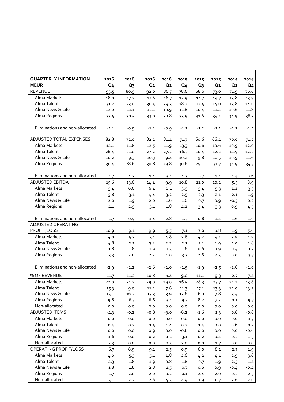| <b>QUARTERLY INFORMATION</b>   | 2016           | 2016   | 2016           | 2016           | 2015           | 2015   | 2015           | 2015           | 2014           |
|--------------------------------|----------------|--------|----------------|----------------|----------------|--------|----------------|----------------|----------------|
| <b>MEUR</b>                    | Q <sub>4</sub> | $Q_3$  | Q <sub>2</sub> | Q <sub>1</sub> | Q <sub>4</sub> | $Q_3$  | Q <sub>2</sub> | Q <sub>1</sub> | Q <sub>4</sub> |
| <b>REVENUE</b>                 | 93.5           | 80.9   | 92.0           | 86.7           | 78.6           | 68.o   | 73.0           | 71.9           | 76.6           |
| Alma Markets                   | 18.0           | 17.2   | 17.6           | 16.7           | 15.9           | 14.7   | 14.7           | 13.8           | 13.9           |
| Alma Talent                    | 31.2           | 23.0   | 30.5           | 29.3           | 18.2           | 12.5   | 14.0           | 13.8           | 14.0           |
| Alma News & Life               | 12.0           | 11.1   | 12.1           | 10.9           | 11.8           | 10.4   | 11.4           | 10.6           | 11.8           |
| Alma Regions                   | 33.5           | 30.5   | 33.0           | 30.8           | 33.9           | 31.6   | 34.1           | 34.9           | 38.3           |
|                                |                |        |                |                |                |        |                |                |                |
| Eliminations and non-allocated | $-1.1$         | $-0.9$ | $-1.2$         | $-0.9$         | $-1.1$         | $-1.2$ | $-1.1$         | $-1.2$         | $-1.4$         |
|                                |                |        |                |                |                |        |                |                |                |
| ADJUSTED TOTAL EXPENSES        | 82.8           | 72.0   | 82.2           | 81.4           | 71.7           | 60.6   | 66.4           | 70.0           | 71.2           |
| Alma Markets                   | 14.1           | 11.8   | 12.5           | 11.9           | 13.3           | 10.6   | 10.6           | 10.9           | 12.0           |
| Alma Talent                    | 26.4           | 21.0   | 27.2           | 27.2           | 16.3           | 10.4   | 12.2           | 11.9           | 12.2           |
| Alma News & Life               | 10.2           | 9.3    | 10.3           | 9.4            | 10.2           | 9.8    | 10.5           | 10.9           | 11.6           |
| Alma Regions                   | 30.4           | 28.6   | 30.8           | 29.8           | 30.6           | 29.1   | 31.7           | 34.9           | 34.7           |
| Eliminations and non-allocated | 1.7            | 1.3    | 1.4            | 3.1            | 1.3            | 0.7    | 1.4            | 1.4            | 0.6            |
| <b>ADJUSTED EBITDA</b>         | 15.6           | 13.6   | 14.4           | 9.9            | 10.8           | 11.0   | 10.2           | 5.3            | 8.9            |
| Alma Markets                   | 5.4            | 6.6    | 6.4            | 6.1            | 3.9            | 5.4    | 5.3            | 4.2            | 3.3            |
| Alma Talent                    | 5.8            | 3.1    | 4.4            | 3.2            | 2.5            | 2.3    | 2.1            | 2.1            | 1.9            |
| Alma News & Life               | 2.0            | 1.9    | 2.0            | 1.6            | 1.6            | 0.7    | 0.9            | $-0.3$         | 0.2            |
| Alma Regions                   | 4.1            | 2.9    | 3.1            | 1.8            | 4.2            | 3.4    | 3.3            | 0.9            | 4.5            |
|                                |                |        |                |                |                |        |                |                |                |
| Eliminations and non-allocated | $-1.7$         | $-0.9$ | $-1.4$         | $-2.8$         | $-1.3$         | $-0.8$ | $-1.4$         | $-1.6$         | $-1.0$         |
| ADJUSTED OPERATING             |                |        |                |                |                |        |                |                |                |
| PROFIT/LOSS                    | 10.9           | 9.1    | 9.9            | 5.5            | 7.1            | 7.6    | 6.8            | 1.9            | 5.6            |
| Alma Markets                   | 4.0            | 5.3    | 5.1            | 4.8            | 2.6            | 4.2    | 4.1            | 2.9            | 1.9            |
| Alma Talent                    | 4.8            | 2.1    | 3.4            | 2.2            | 2.1            | 2.1    | 1.9            | 1.9            | 1.8            |
| Alma News & Life               | 1.8            | 1.8    | 1.9            | 1.5            | 1.6            | 0.6    | 0.9            | $-0.4$         | 0.2            |
| Alma Regions                   | 3.3            | 2.0    | 2.2            | 1.0            | 3.3            | 2.6    | 2.5            | 0.0            | 3.7            |
| Eliminations and non-allocated | $-2.9$         | $-2.2$ | $-2.6$         | $-4.0$         | $-2.5$         | $-1.9$ | $-2.5$         | $-2.6$         | $-2.0$         |
|                                |                |        |                |                |                |        |                |                |                |
| % OF REVENUE                   | 11.7           | 11.2   | 10.8           | 6.4            | 9.0            | 11.1   | 9.3            | 2.7            | 7.4            |
| Alma Markets                   | 22.0           | 31.2   | 29.0           | 29.0           | 16.5           | 28.3   | 27.7           | 21.2           | 13.8           |
| Alma Talent                    | 15.3           | 9.0    | 11.2           | 7.6            | 11.3           | 17.1   | 13.3           | 14.0           | 13.2           |
| Alma News & Life               | 15.1           | 16.2   | 15.3           | 13.9           | 13.6           | 6.0    | 7.8            | $-3.4$         | 1.4            |
| Alma Regions                   | 9.8            | 6.7    | 6.6            | 3.1            | 9.7            | 8.2    | 7.2            | 0.1            | 9.7            |
| Non-allocated                  | 0.0            | 0.0    | 0.0            | 0.0            | 0.0            | 0.0    | 0.0            | 0.0            | 0.0            |
| ADJUSTED ITEMS                 | $-4.3$         | $-0.2$ | $-0.8$         | $-3.0$         | $-6.2$         | $-1.6$ | 1.3            | 0.8            | -0.8           |
| Alma Markets                   | 0.0            | 0.0    | $_{0.0}$       | 0.0            | 0.0            | 0.0    | 0.0            | 0.0            | 1.7            |
| Alma Talent                    | $-0.4$         | $-0.2$ | $-1.5$         | $-1.4$         | $-0.2$         | $-1.4$ | 0.0            | o.6            | $-0.5$         |
| Alma News & Life               | 0.0            | 0.0    | 0.9            | 0.0            | $-0.8$         | 0.0    | 0.0            | 0.0            | $-0.6$         |
| Alma Regions                   | $-1.6$         | 0.0    | $-0.2$         | $-1.1$         | $-3.1$         | $-0.2$ | $-0.4$         | 0.2            | $-1.5$         |
| Non-allocated                  | $-2.3$         | 0.0    | 0.0            | $-0.5$         | $-2.0$         | 0.0    | 1.7            | 0.0            | 0.0            |
| OPERATING PROFIT/LOSS          | 6.7            | 8.9    | 9.1            | 2.5            | 0.9            | 6.0    | 8.1            | 2.7            | 4.9            |
| Alma Markets                   | 4.0            | 5.3    | 5.1            | 4.8            | 2.6            | 4.2    | 4.1            | 2.9            | 3.6            |
| Alma Talent                    | 4.3            | 1.8    | 1.9            | 0.8            | 1.8            | 0.7    | 1.9            | 2.5            | 1.4            |
| Alma News & Life               | 1.8            | 1.8    | 2.8            | 1.5            | 0.7            | 0.6    | 0.9            | $-0.4$         | $-0.4$         |
| Alma Regions                   | 1.7            | 2.0    | 2.0            | $-0.2$         | 0.1            | 2.4    | 2.0            | 0.2            | 2.3            |
| Non-allocated                  | $-5.1$         | $-2.2$ | $-2.6$         | $-4.5$         | $-4.4$         | $-1.9$ | $-0.7$         | $-2.6$         | $-2.0$         |